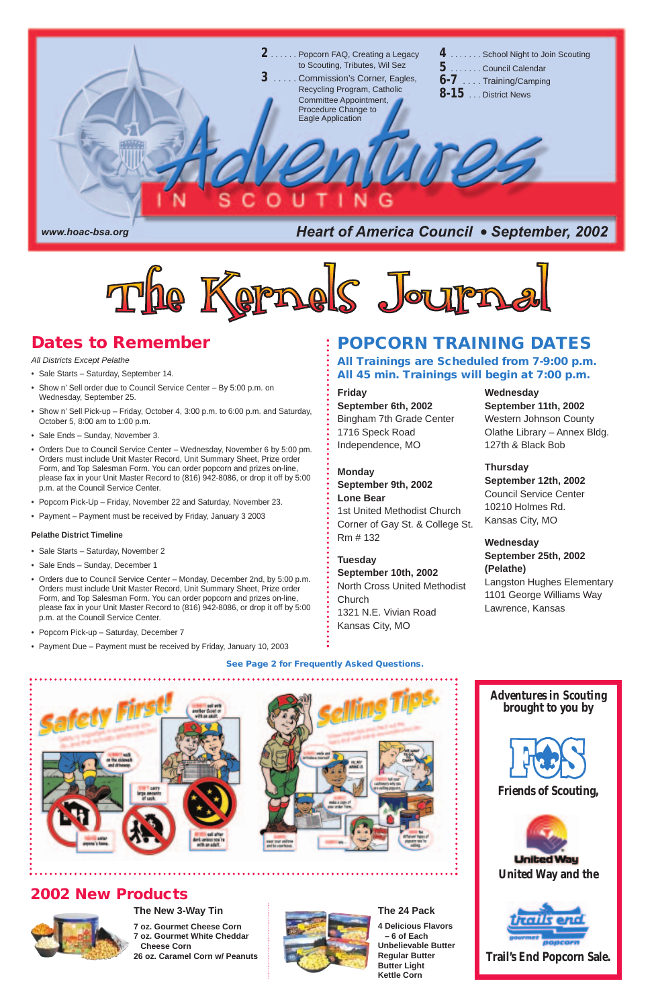



*Adventures in Scouting* **brought to you by**



**Friends of Scouting,** 





# **POPCORN TRAINING DATES**

#### **All Trainings are Scheduled from 7-9:00 p.m. All 45 min. Trainings will begin at 7:00 p.m.**

**Friday September 6th, 2002** Bingham 7th Grade Center 1716 Speck Road Independence, MO

**Monday September 9th, 2002 Lone Bear** 1st United Methodist Church Corner of Gay St. & College St. Rm # 132

**Tuesday September 10th, 2002** North Cross United Methodist **Church** 1321 N.E. Vivian Road Kansas City, MO

**Wednesday September 11th, 2002** Western Johnson County Olathe Library – Annex Bldg. 127th & Black Bob

**Thursday September 12th, 2002** Council Service Center 10210 Holmes Rd. Kansas City, MO

**Wednesday September 25th, 2002 (Pelathe)** Langston Hughes Elementary 1101 George Williams Way Lawrence, Kansas

# **Dates to Remember**

All Districts Except Pelathe

- Sale Starts Saturday, September 14.
- Show n' Sell order due to Council Service Center By 5:00 p.m. on Wednesday, September 25.
- Show n' Sell Pick-up Friday, October 4, 3:00 p.m. to 6:00 p.m. and Saturday, October 5, 8:00 am to 1:00 p.m.
- Sale Ends Sunday, November 3.
- Orders Due to Council Service Center Wednesday, November 6 by 5:00 pm. Orders must include Unit Master Record, Unit Summary Sheet, Prize order Form, and Top Salesman Form. You can order popcorn and prizes on-line, please fax in your Unit Master Record to (816) 942-8086, or drop it off by 5:00 p.m. at the Council Service Center.
- Popcorn Pick-Up Friday, November 22 and Saturday, November 23.
- Payment Payment must be received by Friday, January 3 2003

#### **Pelathe District Timeline**

- Sale Starts Saturday, November 2
- Sale Ends Sunday, December 1
- Orders due to Council Service Center Monday, December 2nd, by 5:00 p.m. Orders must include Unit Master Record, Unit Summary Sheet, Prize order Form, and Top Salesman Form. You can order popcorn and prizes on-line, please fax in your Unit Master Record to (816) 942-8086, or drop it off by 5:00 p.m. at the Council Service Center.
- Popcorn Pick-up Saturday, December 7
- Payment Due Payment must be received by Friday, January 10, 2003

# **2002 New Products**



#### **The 24 Pack**

**4 Delicious Flavors – 6 of Each Unbelievable Butter Regular Butter Butter Light Kettle Corn**



#### **The New 3-Way Tin**

**7 oz. Gourmet Cheese Corn 7 oz. Gourmet White Cheddar Cheese Corn 26 oz. Caramel Corn w/ Peanuts**



#### **See Page 2 for Frequently Asked Questions.**

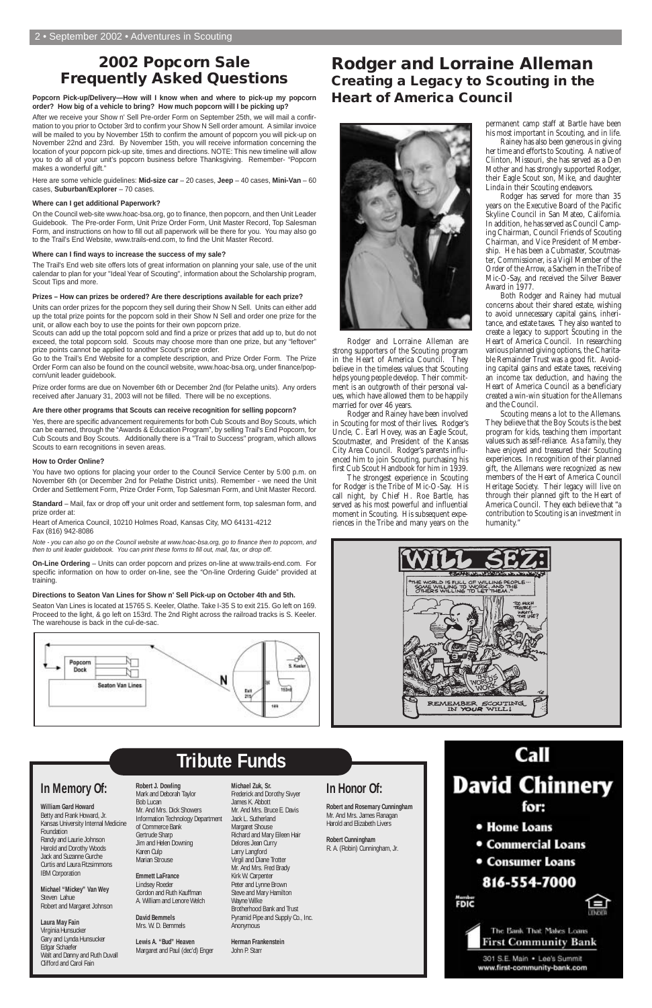# **Tribute Funds**

# **In Memory Of:**

#### **William Gard Howard**

Betty and Frank Howard, Jr. Kansas University Internal Medicine Foundation Randy and Laurie Johnson Harold and Dorothy Woods Jack and Suzanne Gurche Curtis and Laura Fitzsimmons IBM Corporation

**Michael "Mickey" Van Wey**

Steven Lahue Robert and Margaret Johnson

#### **Laura May Fain**

Virginia Hunsucker Gary and Lynda Hunsucker Edgar Schaefer Walt and Danny and Ruth Duvall Clifford and Carol Fain

**Robert J. Dowling** Mark and Deborah Taylor Bob Lucan Mr. And Mrs. Dick Showers Information Technology Department of Commerce Bank Gertrude Sharp Jim and Helen Downing Karen Culp Marian Strouse

**Emmett LaFrance** Lindsey Roeder Gordon and Ruth Kauffman A. William and Lenore Welch

**David Bemmels** Mrs. W. D. Bemmels

After we receive your Show n' Sell Pre-order Form on September 25th, we will mail a confirmation to you prior to October 3rd to confirm your Show N Sell order amount. A similar invoice will be mailed to you by November 15th to confirm the amount of popcorn you will pick-up on November 22nd and 23rd. By November 15th, you will receive information concerning the location of your popcorn pick-up site, times and directions. NOTE: This new timeline will allow you to do all of your unit's popcorn business before Thanksgiving. Remember- "Popcorn makes a wonderful gift."

> **Lewis A. "Bud" Heaven** Margaret and Paul (dec'd) Enger

**Michael Zuk, Sr.** Frederick and Dorothy Sivyer James K. Abbott Mr. And Mrs. Bruce E. Davis Jack L. Sutherland Margaret Shouse Richard and Mary Eileen Hair Delores Jean Curry Larry Langford Virgil and Diane Trotter

Mr. And Mrs. Fred Brady Kirk W. Carpenter Peter and Lynne Brown Steve and Mary Hamilton

Wayne Wilke

Brotherhood Bank and Trust Pyramid Pipe and Supply Co., Inc.

Anonymous

#### **Herman Frankenstein** John P. Starr

# **In Honor Of:**

**Robert and Rosemary Cunningham** Mr. And Mrs. James Flanagan Harold and Elizabeth Livers

**Robert Cunningham** R. A. (Robin) Cunningham, Jr. **David Chinnery** for:

Call

- Home Loans
- **Commercial Loans**
- **Consumer Loans**

816-554-7000

**FDIC** 





301 S.E. Main . Lee's Summit www.first-community-bank.com

# **2002 Popcorn Sale Frequently Asked Questions**

**Popcorn Pick-up/Delivery—How will I know when and where to pick-up my popcorn order? How big of a vehicle to bring? How much popcorn will I be picking up?**

Here are some vehicle guidelines: **Mid-size car** – 20 cases, **Jeep** – 40 cases, **Mini-Van** – 60 cases, **Suburban/Explorer** – 70 cases.

#### **Where can I get additional Paperwork?**

On the Council web-site www.hoac-bsa.org, go to finance, then popcorn, and then Unit Leader Guidebook. The Pre-order Form, Unit Prize Order Form, Unit Master Record, Top Salesman Form, and instructions on how to fill out all paperwork will be there for you. You may also go to the Trail's End Website, www.trails-end.com, to find the Unit Master Record.

#### **Where can I find ways to increase the success of my sale?**

The Trail's End web site offers lots of great information on planning your sale, use of the unit calendar to plan for your "Ideal Year of Scouting", information about the Scholarship program, Scout Tips and more.

#### **Prizes – How can prizes be ordered? Are there descriptions available for each prize?**

Units can order prizes for the popcorn they sell during their Show N Sell. Units can either add up the total prize points for the popcorn sold in their Show N Sell and order one prize for the unit, or allow each boy to use the points for their own popcorn prize.

Scouts can add up the total popcorn sold and find a prize or prizes that add up to, but do not exceed, the total popcorn sold. Scouts may choose more than one prize, but any "leftover" prize points cannot be applied to another Scout's prize order.

Go to the Trail's End Website for a complete description, and Prize Order Form. The Prize Order Form can also be found on the council website, www.hoac-bsa.org, under finance/popcorn/unit leader guidebook.

Prize order forms are due on November 6th or December 2nd (for Pelathe units). Any orders received after January 31, 2003 will not be filled. There will be no exceptions.

#### **Are there other programs that Scouts can receive recognition for selling popcorn?**

Yes, there are specific advancement requirements for both Cub Scouts and Boy Scouts, which can be earned, through the "Awards & Education Program", by selling Trail's End Popcorn, for Cub Scouts and Boy Scouts. Additionally there is a "Trail to Success" program, which allows Scouts to earn recognitions in seven areas.

#### **How to Order Online?**

You have two options for placing your order to the Council Service Center by 5:00 p.m. on November 6th (or December 2nd for Pelathe District units). Remember - we need the Unit Order and Settlement Form, Prize Order Form, Top Salesman Form, and Unit Master Record.

**Standard** – Mail, fax or drop off your unit order and settlement form, top salesman form, and prize order at:

Heart of America Council, 10210 Holmes Road, Kansas City, MO 64131-4212 Fax (816) 942-8086

Note - you can also go on the Council website at www.hoac-bsa.org, go to finance then to popcorn, and then to unit leader guidebook. You can print these forms to fill out, mail, fax, or drop off.

**On-Line Ordering** – Units can order popcorn and prizes on-line at www.trails-end.com. For specific information on how to order on-line, see the "On-line Ordering Guide" provided at training.

#### **Directions to Seaton Van Lines for Show n' Sell Pick-up on October 4th and 5th.**

Seaton Van Lines is located at 15765 S. Keeler, Olathe. Take I-35 S to exit 215. Go left on 169. Proceed to the light, & go left on 153rd. The 2nd Right across the railroad tracks is S. Keeler. The warehouse is back in the cul-de-sac.



# **Rodger and Lorraine Alleman Creating a Legacy to Scouting in the Heart of America Council**



Rodger and Lorraine Alleman are strong supporters of the Scouting program in the Heart of America Council. They believe in the timeless values that Scouting helps young people develop. Their commitment is an outgrowth of their personal values, which have allowed them to be happily married for over 46 years.

Rodger and Rainey have been involved in Scouting for most of their lives. Rodger's Uncle, C. Earl Hovey, was an Eagle Scout, Scoutmaster, and President of the Kansas City Area Council. Rodger's parents influenced him to join Scouting, purchasing his first Cub Scout Handbook for him in 1939.

The strongest experience in Scouting for Rodger is the Tribe of Mic-O-Say. His call night, by Chief H. Roe Bartle, has served as his most powerful and influential moment in Scouting. His subsequent experiences in the Tribe and many years on the

permanent camp staff at Bartle have been his most important in Scouting, and in life.

Rainey has also been generous in giving her time and efforts to Scouting. A native of Clinton, Missouri, she has served as a Den Mother and has strongly supported Rodger, their Eagle Scout son, Mike, and daughter Linda in their Scouting endeavors.

Rodger has served for more than 35 years on the Executive Board of the Pacific Skyline Council in San Mateo, California. In addition, he has served as Council Camping Chairman, Council Friends of Scouting Chairman, and Vice President of Membership. He has been a Cubmaster, Scoutmaster, Commissioner, is a Vigil Member of the Order of the Arrow, a Sachem in the Tribe of Mic-O-Say, and received the Silver Beaver Award in 1977.

Both Rodger and Rainey had mutual concerns about their shared estate, wishing to avoid unnecessary capital gains, inheritance, and estate taxes. They also wanted to create a legacy to support Scouting in the Heart of America Council. In researching various planned giving options, the Charitable Remainder Trust was a good fit. Avoiding capital gains and estate taxes, receiving an income tax deduction, and having the Heart of America Council as a beneficiary created a win-win situation for the Allemans and the Council.

Scouting means a lot to the Allemans. They believe that the Boy Scouts is the best program for kids, teaching them important values such as self-reliance. As a family, they have enjoyed and treasured their Scouting experiences. In recognition of their planned gift, the Allemans were recognized as new members of the Heart of America Council Heritage Society. Their legacy will live on through their planned gift to the Heart of America Council. They each believe that "a contribution to Scouting is an investment in humanity."

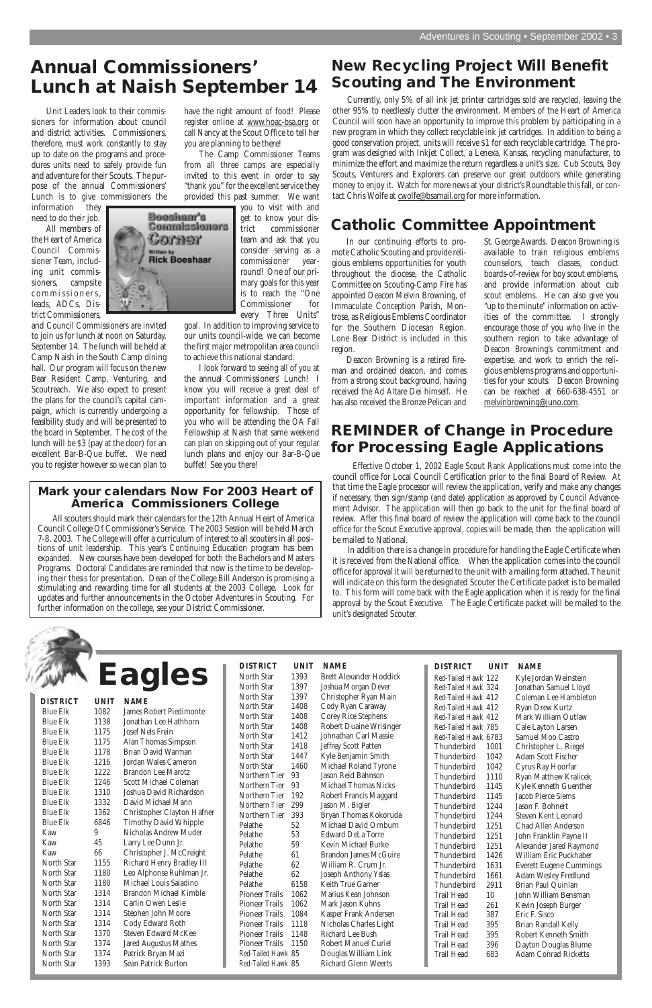**DISTRICT UNIT NAME DISTRICT UNIT NAME**

North Star 1393 Brett Alexander Hoddick North Star 1397 Joshua Morgan Dever North Star 1397 Christopher Ryan Main North Star 1408 Cody Ryan Caraway North Star 1408 Corey Rice Stephens North Star 1408 Robert Duaine Wrisinger North Star 1412 Johnathan Carl Massie

| North Star            | 1418 | <b>Jeffrey Scott Patten</b>  |
|-----------------------|------|------------------------------|
| North Star            | 1447 | Kyle Benjamin Smith          |
| North Star            | 1460 | Michael Roland Tyrone        |
| Northern Tier         | 93   | Jason Reid Bahnson           |
| Northern Tier         | 93   | Michael Thomas Nicks         |
| Northern Tier         | 192  | Robert Francis Maggard       |
| Northern Tier         | 299  | Jason M. Bigler              |
| Northern Tier         | 393  | Bryan Thomas Kokoruda        |
| Pelathe               | 52   | Michael David Ornburn        |
| Pelathe               | 53   | <b>Edward DeLa Torre</b>     |
| Pelathe               | 59   | Kevin Michael Burke          |
| Pelathe               | 61   | <b>Brandon James McGuire</b> |
| Pelathe               | 62   | William R. Crum Jr.          |
| Pelathe               | 62   | <b>Joseph Anthony Yslas</b>  |
| Pelathe               | 6158 | <b>Keith True Garner</b>     |
| <b>Pioneer Trails</b> | 1062 | Marius Kean Johnson          |
| Pioneer Trails        | 1062 | Mark Jason Kuhns             |
| <b>Pioneer Trails</b> | 1084 | Kasper Frank Andersen        |
| <b>Pioneer Trails</b> | 1118 | Nicholas Charles Light       |
| <b>Pioneer Trails</b> | 1148 | Richard Lee Bush             |
| Pioneer Trails        | 1150 | <b>Robert Manuel Curiel</b>  |
| Red-Tailed Hawk 85    |      | Douglas William Link         |
| Red-Tailed Hawk 85    |      | <b>Richard Glenn Weerts</b>  |

Red-Tailed Hawk 122 Kyle Jordan Weinstein Red-Tailed Hawk 324 Jonathan Samuel Lloyd Red-Tailed Hawk 412 Coleman Lee Hambleton Red-Tailed Hawk 412 Mark William Outlaw Red-Tailed Hawk 6783 Samuel Moo Castro

Red-Tailed Hawk 412 Ryan Drew Kurtz Red-Tailed Hawk 785 Cale Layton Larsen

| Thunderbird | 1001 | Christopher L. Riegel          |
|-------------|------|--------------------------------|
| Thunderbird | 1042 | Adam Scott Fischer             |
| Thunderbird | 1042 | Cyrus Ray Hoorfar              |
| Thunderbird | 1110 | <b>Ryan Matthew Kralicek</b>   |
| Thunderbird | 1145 | Kyle Kenneth Guenther          |
| Thunderbird | 1145 | Jacob Pierce Siems             |
| Thunderbird | 1244 | Jason F. Bohnert               |
| Thunderbird | 1244 | Steven Kent Leonard            |
| Thunderbird | 1251 | Chad Allen Anderson            |
| Thunderbird | 1251 | John Franklin Payne II         |
| Thunderbird | 1251 | Alexander Jared Raymond        |
| Thunderbird | 1426 | William Eric Puckhaber         |
| Thunderbird | 1631 | <b>Everett Eugene Cummings</b> |
| Thunderbird | 1661 | <b>Adam Wesley Fredlund</b>    |
| Thunderbird | 2911 | Brian Paul Quinlan             |
| Trail Head  | 10   | John William Bensman           |
| Trail Head  | 261  | Kevin Joseph Burger            |
| Trail Head  | 387  | Eric F. Sisco                  |
| Trail Head  | 395  | Brian Randall Kelly            |
| Trail Head  | 395  | Robert Kenneth Smith           |
| Trail Head  | 396  | Dayton Douglas Blume           |
| Trail Head  | 683  | <b>Adam Conrad Ricketts</b>    |
|             |      |                                |

# Blue Elk 1082 James Robert Piedimonte

# Blue Elk 1138 Jonathan Lee Hathhorn Blue Elk 1175 Josef Nels Frein **DISTRICT UNIT NAME Eagles**

| Blue Elk          | 1175 | Alan Thomas Simpson          |
|-------------------|------|------------------------------|
| <b>Blue Elk</b>   | 1178 | Brian David Warman           |
| <b>Blue Elk</b>   | 1216 | Jordan Wales Cameron         |
| <b>Blue Elk</b>   | 1222 | <b>Brandon Lee Marotz</b>    |
| <b>Blue Elk</b>   | 1246 | Scott Michael Coleman        |
| <b>Blue Elk</b>   | 1310 | Joshua David Richardson      |
| <b>Blue Elk</b>   | 1332 | David Michael Mann           |
| <b>Blue Elk</b>   | 1362 | Christopher Clayton Hafner   |
| <b>Blue Elk</b>   | 6846 | <b>Timothy David Whipple</b> |
| Kaw               | 9    | Nicholas Andrew Muder        |
| Kaw               | 45   | Larry Lee Dunn Jr.           |
| Kaw               | 66   | Christopher J. McCreight     |
| <b>North Star</b> | 1155 | Richard Henry Bradley III    |
| <b>North Star</b> | 1180 | Leo Alphonse Ruhlman Jr.     |
| North Star        | 1180 | Michael Louis Saladino       |
| North Star        | 1314 | Brandon Michael Kimble       |
| North Star        | 1314 | Carlin Owen Leslie           |
| North Star        | 1314 | Stephen John Moore           |
| North Star        | 1314 | Cody Edward Roth             |
| North Star        | 1370 | Steven Edward McKee          |
| North Star        | 1374 | <b>Jared Augustus Mathes</b> |
| North Star        | 1374 | Patrick Bryan Mazi           |
| North Star        | 1393 | Sean Patrick Burton          |
|                   |      |                              |

Unit Leaders look to their commissioners for information about council and district activities. Commissioners, therefore, must work constantly to stay up to date on the programs and procedures units need to safely provide fun and adventure for their Scouts. The purpose of the annual Commissioners' Lunch is to give commissioners the

information they need to do their job.

All members of the Heart of America Council Commissioner Team, including unit commissioners, campsite commissioners, leads, ADCs, District Commissioners,

and Council Commissioners are invited to join us for lunch at noon on Saturday, September 14. The lunch will be held at Camp Naish in the South Camp dining hall. Our program will focus on the new Bear Resident Camp, Venturing, and Scoutreach. We also expect to present the plans for the council's capital campaign, which is currently undergoing a feasibility study and will be presented to the board in September. The cost of the lunch will be \$3 (pay at the door) for an excellent Bar-B-Que buffet. We need you to register however so we can plan to



have the right amount of food! Please register online at www.hoac-bsa.org or call Nancy at the Scout Office to tell her you are planning to be there!

The Camp Commissioner Teams from all three camps are especially invited to this event in order to say "thank you" for the excellent service they provided this past summer. We want

> you to visit with and get to know your district commissioner team and ask that you consider serving as a commissioner yearround! One of our primary goals for this year is to reach the "One Commissioner for every Three Units"

goal. In addition to improving service to our units council-wide, we can become the first major metropolitan area council to achieve this national standard.

I look forward to seeing all of you at the annual Commissioners' Lunch! I know you will receive a great deal of important information and a great opportunity for fellowship. Those of you who will be attending the OA Fall Fellowship at Naish that same weekend can plan on skipping out of your regular lunch plans and enjoy our Bar-B-Que buffet! See you there!

# **Annual Commissioners' Lunch at Naish September 14**

All scouters should mark their calendars for the 12th Annual Heart of America Council College Of Commissioner's Service. The 2003 Session will be held March 7-8, 2003. The College will offer a curriculum of interest to all scouters in all positions of unit leadership. This year's Continuing Education program has been expanded. New courses have been developed for both the Bachelors and Masters Programs. Doctoral Candidates are reminded that now is the time to be developing their thesis for presentation. Dean of the College Bill Anderson is promising a stimulating and rewarding time for all students at the 2003 College. Look for updates and further announcements in the October Adventures in Scouting. For further information on the college, see your District Commissioner.

#### **Mark your calendars Now For 2003 Heart of America Commissioners College**

Effective October 1, 2002 Eagle Scout Rank Applications must come into the council office for Local Council Certification prior to the final Board of Review. At that time the Eagle processor will review the application, verify and make any changes if necessary, then sign/stamp (and date) application as approved by Council Advancement Advisor. The application will then go back to the unit for the final board of review. After this final board of review the application will come back to the council office for the Scout Executive approval, copies will be made, then the application will be mailed to National.

In addition there is a change in procedure for handling the Eagle Certificate when it is received from the National office. When the application comes into the council office for approval it will be returned to the unit with a mailing form attached. The unit will indicate on this form the designated Scouter the Certificate packet is to be mailed to. This form will come back with the Eagle application when it is ready for the final approval by the Scout Executive. The Eagle Certificate packet will be mailed to the unit's designated Scouter.



# **REMINDER of Change in Procedure for Processing Eagle Applications**

In our continuing efforts to promote Catholic Scouting and provide religious emblems opportunities for youth throughout the diocese, the Catholic Committee on Scouting-Camp Fire has appointed Deacon Melvin Browning, of Immaculate Conception Parish, Montrose, as Religious Emblems Coordinator for the Southern Diocesan Region. Lone Bear District is included in this region.

Deacon Browning is a retired fireman and ordained deacon, and comes from a strong scout background, having received the Ad Altare Dei himself. He has also received the Bronze Pelican and St. George Awards. Deacon Browning is available to train religious emblems counselors, teach classes, conduct boards-of-review for boy scout emblems, and provide information about cub scout emblems. He can also give you "up to the minute" information on activities of the committee. I strongly encourage those of you who live in the southern region to take advantage of Deacon Browning's commitment and expertise, and work to enrich the religious emblems programs and opportunities for your scouts. Deacon Browning can be reached at 660-638-4551 or melvinbrowning@juno.com.

# **Catholic Committee Appointment**

Currently, only 5% of all ink jet printer cartridges sold are recycled, leaving the other 95% to needlessly clutter the environment. Members of the Heart of America Council will soon have an opportunity to improve this problem by participating in a new program in which they collect recyclable ink jet cartridges. In addition to being a good conservation project, units will receive \$1 for each recyclable cartridge. The program was designed with Inkjet Collect, a Lenexa, Kansas, recycling manufacturer, to minimize the effort and maximize the return regardless a unit's size. Cub Scouts, Boy Scouts, Venturers and Explorers can preserve our great outdoors while generating money to enjoy it. Watch for more news at your district's Roundtable this fall, or contact Chris Wolfe at cwolfe@bsamail.org for more information.

# **New Recycling Project Will Benefit Scouting and The Environment**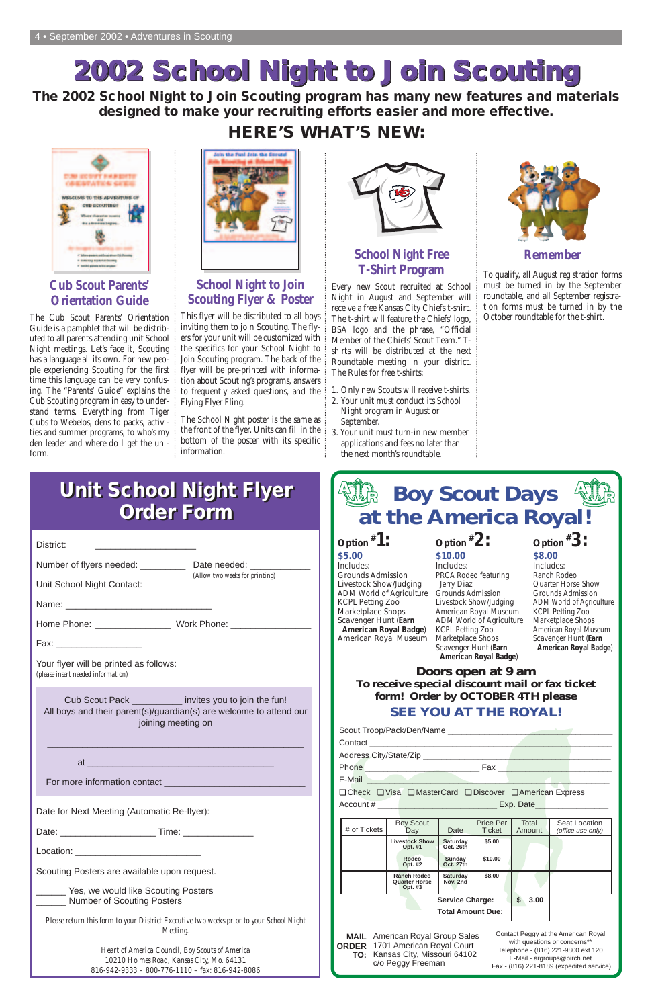**The 2002 School Night to Join Scouting program has many new features and materials designed to make your recruiting efforts easier and more effective.**

# **HERE'S WHAT'S NEW:**



| District:                                                                        |                                                                                                                                                    |
|----------------------------------------------------------------------------------|----------------------------------------------------------------------------------------------------------------------------------------------------|
| Number of flyers needed: ____________ Date needed: __________                    |                                                                                                                                                    |
| (Allow two weeks for printing)<br>Unit School Night Contact:                     |                                                                                                                                                    |
|                                                                                  |                                                                                                                                                    |
| Home Phone: _____________________ Work Phone: __________________________________ |                                                                                                                                                    |
|                                                                                  |                                                                                                                                                    |
| Your flyer will be printed as follows:<br>(please insert needed information)     |                                                                                                                                                    |
|                                                                                  | Cub Scout Pack __________ invites you to join the fun!<br>All boys and their parent(s)/guardian(s) are welcome to attend our<br>joining meeting on |
| $at$ $\qquad \qquad$                                                             |                                                                                                                                                    |
|                                                                                  |                                                                                                                                                    |
| Date for Next Meeting (Automatic Re-flyer):                                      |                                                                                                                                                    |
|                                                                                  |                                                                                                                                                    |
|                                                                                  |                                                                                                                                                    |
| Scouting Posters are available upon request.                                     |                                                                                                                                                    |
| Ves, we would like Scouting Posters<br>Number of Scouting Posters                |                                                                                                                                                    |
|                                                                                  | Please return this form to your District Executive two weeks prior to your School Night<br>Meeting.                                                |
|                                                                                  |                                                                                                                                                    |

# **Unit School Night Flyer Unit School Night Flyer Order Form Order Form**

*Heart of America Council, Boy Scouts of America 10210 Holmes Road, Kansas City, Mo. 64131 816-942-9333 – 800-776-1110 – fax: 816-942-8086*

# **2002 School Night to Join Scouting 2002 School Night to Join Scouting**



**Doors open at 9 am To receive special discount mail or fax ticket form! Order by OCTOBER 4TH please** *SEE YOU AT THE ROYAL!*

# **School Night Free T-Shirt Program**

Every new Scout recruited at School Night in August and September will receive a free Kansas City Chiefs t-shirt. The t-shirt will feature the Chiefs' logo, BSA logo and the phrase, "Official Member of the Chiefs' Scout Team." Tshirts will be distributed at the next Roundtable meeting in your district. The Rules for free t-shirts:

- 1. Only new Scouts will receive t-shirts.
- 2. Your unit must conduct its School Night program in August or September.
- 3. Your unit must turn-in new member applications and fees no later than the next month's roundtable.



**Remember**

To qualify, all August registration forms must be turned in by the September roundtable, and all September registration forms must be turned in by the October roundtable for the t-shirt.

# **Cub Scout Parents' Orientation Guide**

The Cub Scout Parents' Orientation Guide is a pamphlet that will be distributed to all parents attending unit School Night meetings. Let's face it, Scouting has a language all its own. For new people experiencing Scouting for the first time this language can be very confusing. The "Parents' Guide" explains the Cub Scouting program in easy to understand terms. Everything from Tiger Cubs to Webelos, dens to packs, activities and summer programs, to who's my den leader and where do I get the uniform.



# **School Night to Join Scouting Flyer & Poster**

This flyer will be distributed to all boys inviting them to join Scouting. The flyers for your unit will be customized with the specifics for your School Night to Join Scouting program. The back of the flyer will be pre-printed with information about Scouting's programs, answers to frequently asked questions, and the Flying Flyer Fling.

The School Night poster is the same as the front of the flyer. Units can fill in the bottom of the poster with its specific information.



**Option # 1: \$5.00**

*Includes:* Grounds Admission Livestock Show/Judging ADM World of Agriculture Grounds Admission KCPL Petting Zoo Marketplace Shops Scavenger Hunt (**Earn American Royal Badge**) American Royal Museum

Scout Troop/Pack/Den/Name

**Option # 2: \$10.00**

*Includes:* PRCA Rodeo featuring Jerry Diaz Livestock Show/Judging American Royal Museum ADM World of Agriculture KCPL Petting Zoo Marketplace Shops Scavenger Hunt (**Earn American Royal Badge**)

#### **Option # 3: \$8.00**

*Includes:* Ranch Rodeo Quarter Horse Show Grounds Admission ADM World of Agriculture KCPL Petting Zoo Marketplace Shops American Royal Museum Scavenger Hunt (**Earn American Royal Badge**)

| E-Mail       |  |                                                                                                                              |                             |                            |                                                                                                                                          |                                          |
|--------------|--|------------------------------------------------------------------------------------------------------------------------------|-----------------------------|----------------------------|------------------------------------------------------------------------------------------------------------------------------------------|------------------------------------------|
|              |  | □ Check □ Visa □ MasterCard □ Discover □ American Express                                                                    |                             |                            |                                                                                                                                          |                                          |
|              |  |                                                                                                                              |                             |                            |                                                                                                                                          | Exp. Date                                |
|              |  |                                                                                                                              |                             |                            |                                                                                                                                          |                                          |
| # of Tickets |  | <b>Boy Scout</b><br>Day                                                                                                      | Date                        | Price Per<br><b>Ticket</b> | Total<br>Amount                                                                                                                          | Seat Location<br>(office use only)       |
|              |  | <b>Livestock Show</b><br>Opt. #1                                                                                             | Saturday<br>Oct. 26th       | \$5.00                     |                                                                                                                                          |                                          |
|              |  | Rodeo<br>Opt. #2                                                                                                             | Sunday<br>Oct. 27th         | \$10.00                    |                                                                                                                                          |                                          |
|              |  | Ranch Rodeo<br><b>Quarter Horse</b><br>Opt. #3                                                                               | <b>Saturday</b><br>Nov. 2nd | \$8.00                     |                                                                                                                                          |                                          |
|              |  |                                                                                                                              | <b>Service Charge:</b>      |                            | \$<br>3.00                                                                                                                               |                                          |
|              |  |                                                                                                                              | <b>Total Amount Due:</b>    |                            |                                                                                                                                          |                                          |
| MAIL         |  | American Royal Group Sales<br><b>ORDER</b> 1701 American Royal Court<br>TO: Kansas City, Missouri 64102<br>c/o Peggy Freeman |                             |                            | Contact Peggy at the American Royal<br>with questions or concerns**<br>Telephone - (816) 221-9800 ext 120<br>E-Mail - argroups@birch.net | Fax - (816) 221-8189 (expedited service) |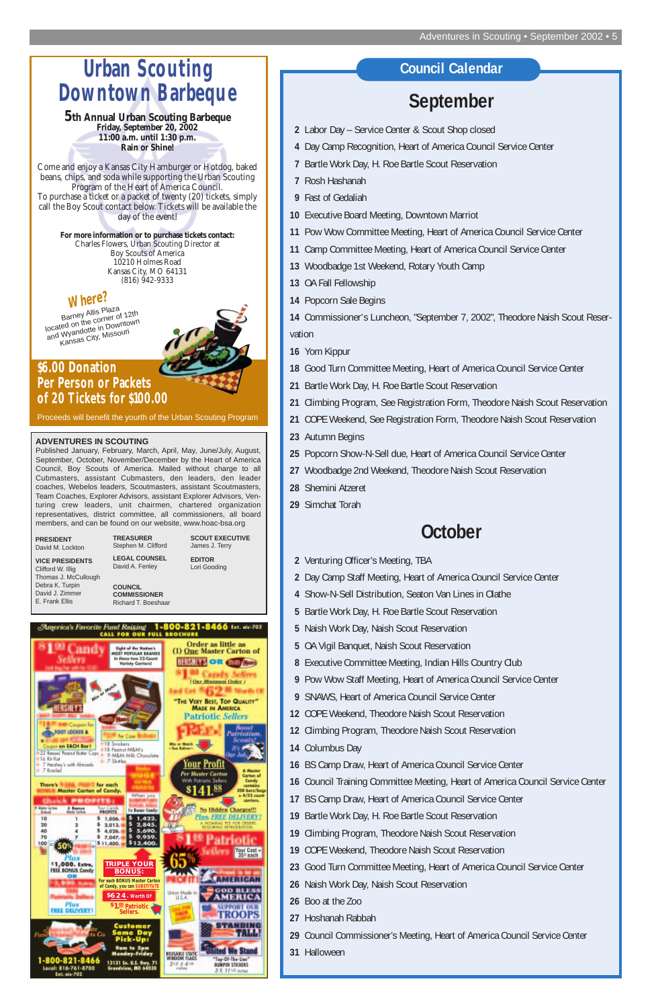# **Urban Scouting Downtown Barbeque**

# **\$6.00 Donation Per Person or Packets of 20 Tickets for \$100.00**

Proceeds will benefit the yourth of the Urban Scouting Program

**5th Annual Urban Scouting Barbeque Friday, September 20, 2002 11:00 a.m. until 1:30 p.m. Rain or Shine!**

located on the corner of 12th and Wyandotte in Downtown Kansas City, Missouri

Come and enjoy a Kansas City Hamburger or Hotdog, baked beans, chips, and soda while supporting the Urban Scouting Program of the Heart of America Council. To purchase a ticket or a packet of twenty (20) tickets, simply call the Boy Scout contact below. Tickets will be available the day of the event!

> **For more information or to purchase tickets contact:** Charles Flowers, Urban Scouting Director at Boy Scouts of America 10210 Holmes Road Kansas City, MO 64131 (816) 942-9333



#### **ADVENTURES IN SCOUTING**

Published January, February, March, April, May, June/July, August, September, October, November/December by the Heart of America Council, Boy Scouts of America. Mailed without charge to all Cubmasters, assistant Cubmasters, den leaders, den leader coaches, Webelos leaders, Scoutmasters, assistant Scoutmasters, Team Coaches, Explorer Advisors, assistant Explorer Advisors, Venturing crew leaders, unit chairmen, chartered organization representatives, district committee, all commissioners, all board members, and can be found on our website, www.hoac-bsa.org

| <b>PRESIDENT</b>       |
|------------------------|
| David M. Lockton       |
| <b>VICE PRESIDENTS</b> |
| Clifford W. Illig      |
| Thomas J. McCullough   |
| Debra K. Turpin        |
| David J. Zimmer        |

E. Frank Ellis

**TREASURER** Stephen M. Clifford

David A. Fenley

**COUNCIL COMMISSIONER** Richard T. Boeshaar

**LEGAL COUNSEL SCOUT EXECUTIVE** James J. Terry **EDITOR**

Lori Gooding



# **September**

- **2** Labor Day Service Center & Scout Shop closed
- **4** Day Camp Recognition, Heart of America Council Service Center
- **7** Bartle Work Day, H. Roe Bartle Scout Reservation
- **7** Rosh Hashanah
- **9** Fast of Gedaliah
- **10** Executive Board Meeting, Downtown Marriot
- **11** Pow Wow Committee Meeting, Heart of America Council Service Center
- **11** Camp Committee Meeting, Heart of America Council Service Center
- **13** Woodbadge 1st Weekend, Rotary Youth Camp
- **13** OA Fall Fellowship
- **14** Popcorn Sale Begins

**14** Commissioner's Luncheon, "September 7, 2002", Theodore Naish Scout Reservation

- **16** Yom Kippur
- **18** Good Turn Committee Meeting, Heart of America Council Service Center
- **21** Bartle Work Day, H. Roe Bartle Scout Reservation
- **21** Climbing Program, See Registration Form, Theodore Naish Scout Reservation
- **21** COPE Weekend, See Registration Form, Theodore Naish Scout Reservation
- **23** Autumn Begins
- **25** Popcorn Show-N-Sell due, Heart of America Council Service Center
- **27** Woodbadge 2nd Weekend, Theodore Naish Scout Reservation
- **28** Shemini Atzeret
- **29** Simchat Torah

# **October**

- **2** Venturing Officer's Meeting, TBA
- **2** Day Camp Staff Meeting, Heart of America Council Service Center
- **4** Show-N-Sell Distribution, Seaton Van Lines in Olathe
- **5** Bartle Work Day, H. Roe Bartle Scout Reservation
- **5** Naish Work Day, Naish Scout Reservation
- **5** OA Vigil Banquet, Naish Scout Reservation
- **8** Executive Committee Meeting, Indian Hills Country Club
- **9** Pow Wow Staff Meeting, Heart of America Council Service Center
- **9** SNAWS, Heart of America Council Service Center
- **12** COPE Weekend, Theodore Naish Scout Reservation
- **12** Climbing Program, Theodore Naish Scout Reservation
- **14** Columbus Day
- **16** BS Camp Draw, Heart of America Council Service Center
- **16** Council Training Committee Meeting, Heart of America Council Service Center
- **17** BS Camp Draw, Heart of America Council Service Center
- **19** Bartle Work Day, H. Roe Bartle Scout Reservation
- **19** Climbing Program, Theodore Naish Scout Reservation
- **19** COPE Weekend, Theodore Naish Scout Reservation
- **23** Good Turn Committee Meeting, Heart of America Council Service Center
- **26** Naish Work Day, Naish Scout Reservation
- **26** Boo at the Zoo
- **27** Hoshanah Rabbah
- **29** Council Commissioner's Meeting, Heart of America Council Service Center
- **31** Halloween

# **Council Calendar**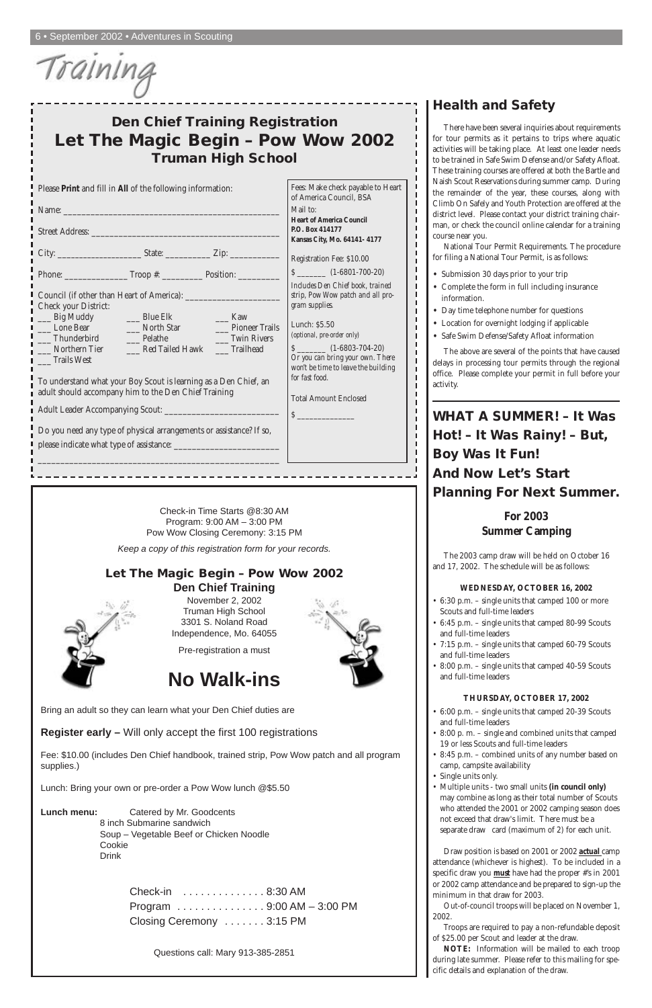Training

# **Health and Safety**

л H

л

п

П

H

There have been several inquiries about requirements for tour permits as it pertains to trips where aquatic activities will be taking place. At least one leader needs to be trained in Safe Swim Defense and/or Safety Afloat. These training courses are offered at both the Bartle and Naish Scout Reservations during summer camp. During the remainder of the year, these courses, along with Climb On Safely and Youth Protection are offered at the district level. Please contact your district training chairman, or check the council online calendar for a training course near you.

National Tour Permit Requirements. The procedure for filing a National Tour Permit, is as follows:

- Submission 30 days prior to your trip
- Complete the form in full including insurance information.
- Day time telephone number for questions
- Location for overnight lodging if applicable
- Safe Swim Defense/Safety Afloat information

The above are several of the points that have caused delays in processing tour permits through the regional office. Please complete your permit in full before your activity.

**WHAT A SUMMER! – It Was Hot! – It Was Rainy! – But, Boy Was It Fun! And Now Let's Start Planning For Next Summer.**

# **For 2003 Summer Camping**

The 2003 camp draw will be held on October 16 and 17, 2002. The schedule will be as follows:

#### **WEDNESDAY, OCTOBER 16, 2002**

- 6:30 p.m. single units that camped 100 or more Scouts and full-time leaders
- 6:45 p.m. single units that camped 80-99 Scouts and full-time leaders
- 7:15 p.m. single units that camped 60-79 Scouts and full-time leaders
- 8:00 p.m. single units that camped 40-59 Scouts and full-time leaders

#### **THURSDAY, OCTOBER 17, 2002**

- 6:00 p.m. single units that camped 20-39 Scouts and full-time leaders
- 8:00 p. m. single and combined units that camped



19 or less Scouts and full-time leaders

- 8:45 p.m. combined units of any number based on camp, campsite availability
- Single units only.
- Multiple units two small units **(in council only)** may combine as long as their total number of Scouts who attended the 2001 or 2002 camping season does not exceed that draw's limit. There must be a separate draw card (maximum of 2) for each unit.

Draw position is based on 2001 or 2002 *actual* camp attendance (whichever is highest). To be included in a specific draw you *must* have had the proper #'s in 2001 or 2002 camp attendance and be prepared to sign-up the minimum in that draw for 2003.

Out-of-council troops will be placed on November 1, 2002.

Troops are required to pay a non-refundable deposit of \$25.00 per Scout and leader at the draw.

**NOTE:** Information will be mailed to each troop during late summer. Please refer to this mailing for specific details and explanation of the draw.

# **Den Chief Training Registration Let The Magic Begin – Pow Wow 2002 Truman High School**

Check-in Time Starts @8:30 AM Program: 9:00 AM – 3:00 PM Pow Wow Closing Ceremony: 3:15 PM

Keep a copy of this registration form for your records.

|                                                                                                                                                      | Fees: Make check payable to Heart                                                                                                                                                                                                                                                   |  |
|------------------------------------------------------------------------------------------------------------------------------------------------------|-------------------------------------------------------------------------------------------------------------------------------------------------------------------------------------------------------------------------------------------------------------------------------------|--|
| Please Print and fill in All of the following information:                                                                                           |                                                                                                                                                                                                                                                                                     |  |
|                                                                                                                                                      |                                                                                                                                                                                                                                                                                     |  |
|                                                                                                                                                      | <b>Heart of America Council</b>                                                                                                                                                                                                                                                     |  |
|                                                                                                                                                      | P.O. Box 414177                                                                                                                                                                                                                                                                     |  |
|                                                                                                                                                      | Kansas City, Mo. 64141-4177                                                                                                                                                                                                                                                         |  |
|                                                                                                                                                      | Registration Fee: \$10.00                                                                                                                                                                                                                                                           |  |
|                                                                                                                                                      | $S$ (1-6801-700-20)                                                                                                                                                                                                                                                                 |  |
| __ Blue Elk<br>$\frac{1}{2}$ Kaw<br><b>Solution</b> North Star<br><b>Pioneer Trails</b><br><b>Twin Rivers</b><br>Red Tailed Hawk<br><b>Trailhead</b> | Includes Den Chief book, trained<br>strip, Pow Wow patch and all pro-<br>gram supplies.<br>Lunch: $$5.50$<br>(optional, pre-order only)<br>Or you can bring your own. There<br>won't be time to leave the building<br>for fast food.<br><b>Total Amount Enclosed</b>                |  |
|                                                                                                                                                      | City: ___________________________State: ________________Zip: ___________________<br>To understand what your Boy Scout is learning as a Den Chief, an<br>adult should accompany him to the Den Chief Training<br>Do you need any type of physical arrangements or assistance? If so, |  |

#### **Let The Magic Begin – Pow Wow 2002 Den Chief Training**

November 2, 2002 Truman High School 3301 S. Noland Road Independence, Mo. 64055

Pre-registration a must

# **No Walk-ins**

Bring an adult so they can learn what your Den Chief duties are

**Register early –** Will only accept the first 100 registrations

Fee: \$10.00 (includes Den Chief handbook, trained strip, Pow Wow patch and all program supplies.)

Lunch: Bring your own or pre-order a Pow Wow lunch @\$5.50

#### **Lunch menu:** Catered by Mr. Goodcents

8 inch Submarine sandwich Soup – Vegetable Beef or Chicken Noodle Cookie Drink

> Check-in . . . . . . . . . . . . . . 8:30 AM Program . . . . . . . . . . . . . . . 9:00 AM – 3:00 PM Closing Ceremony . . . . . . . 3:15 PM

> > Questions call: Mary 913-385-2851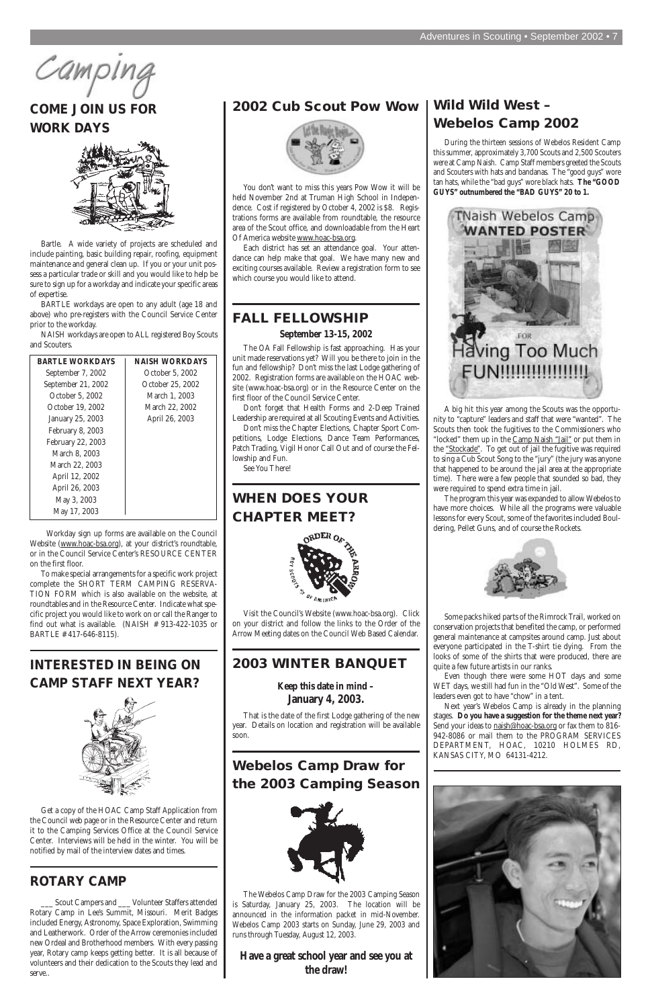Camping

# **Wild Wild West – Webelos Camp 2002**

During the thirteen sessions of Webelos Resident Camp this summer, approximately 3,700 Scouts and 2,500 Scouters were at Camp Naish. Camp Staff members greeted the Scouts and Scouters with hats and bandanas. The "good guys" wore tan hats, while the "bad guys" wore black hats. **The "GOOD GUYS" outnumbered the "BAD GUYS" 20 to 1.**



A big hit this year among the Scouts was the opportunity to "capture" leaders and staff that were "wanted". The Scouts then took the fugitives to the Commissioners who "locked" them up in the Camp Naish "Jail" or put them in the "Stockade". To get out of jail the fugitive was required to sing a Cub Scout Song to the "jury" (the jury was anyone that happened to be around the jail area at the appropriate time). There were a few people that sounded so bad, they were required to spend extra time in jail.

The program this year was expanded to allow Webelos to have more choices. While all the programs were valuable lessons for every Scout, some of the favorites included Bouldering, Pellet Guns, and of course the Rockets.



Some packs hiked parts of the Rimrock Trail, worked on conservation projects that benefited the camp, or performed general maintenance at campsites around camp. Just about everyone participated in the T-shirt tie dying. From the looks of some of the shirts that were produced, there are quite a few future artists in our ranks.

Even though there were some HOT days and some WET days, we still had fun in the "Old West". Some of the leaders even got to have "chow" in a tent.

Next year's Webelos Camp is already in the planning stages. **Do you have a suggestion for the theme next year?** Send your ideas to naish@hoac-bsa.org or fax them to 816-942-8086 or mail them to the PROGRAM SERVICES

DEPARTMENT, HOAC, 10210 HOLMES RD, KANSAS CITY, MO 64131-4212.



# **COME JOIN US FOR WORK DAYS**



Bartle. A wide variety of projects are scheduled and include painting, basic building repair, roofing, equipment maintenance and general clean up. If you or your unit possess a particular trade or skill and you would like to help be sure to sign up for a workday and indicate your specific areas of expertise.

BARTLE workdays are open to any adult (age 18 and above) who pre-registers with the Council Service Center prior to the workday.

NAISH workdays are open to ALL registered Boy Scouts and Scouters.

Workday sign up forms are available on the Council Website (www.hoac-bsa.org), at your district's roundtable, or in the Council Service Center's RESOURCE CENTER on the first floor.

To make special arrangements for a specific work project complete the SHORT TERM CAMPING RESERVA-TION FORM which is also available on the website, at roundtables and in the Resource Center. Indicate what specific project you would like to work on or call the Ranger to find out what is available. (NAISH # 913-422-1035 or BARTLE # 417-646-8115).

# **INTERESTED IN BEING ON CAMP STAFF NEXT YEAR?**



Get a copy of the HOAC Camp Staff Application from the Council web page or in the Resource Center and return it to the Camping Services Office at the Council Service Center. Interviews will be held in the winter. You will be notified by mail of the interview dates and times.

# **ROTARY CAMP**

\_\_\_ Scout Campers and \_\_\_ Volunteer Staffers attended Rotary Camp in Lee's Summit, Missouri. Merit Badges included Energy, Astronomy, Space Exploration, Swimming and Leatherwork. Order of the Arrow ceremonies included new Ordeal and Brotherhood members. With every passing year, Rotary camp keeps getting better. It is all because of volunteers and their dedication to the Scouts they lead and serve..

## **2002 Cub Scout Pow Wow**



You don't want to miss this years Pow Wow it will be held November 2nd at Truman High School in Independence. Cost if registered by October 4, 2002 is \$8. Registrations forms are available from roundtable, the resource area of the Scout office, and downloadable from the Heart Of America website www.hoac-bsa.org.

Each district has set an attendance goal. Your attendance can help make that goal. We have many new and exciting courses available. Review a registration form to see which course you would like to attend.

# **FALL FELLOWSHIP**

#### **September 13-15, 2002**

The OA Fall Fellowship is fast approaching. Has your unit made reservations yet? Will you be there to join in the fun and fellowship? Don't miss the last Lodge gathering of 2002. Registration forms are available on the HOAC website (www.hoac-bsa.org) or in the Resource Center on the first floor of the Council Service Center.

Don't forget that Health Forms and 2-Deep Trained Leadership are required at all Scouting Events and Activities.

Don't miss the Chapter Elections, Chapter Sport Competitions, Lodge Elections, Dance Team Performances, Patch Trading, Vigil Honor Call Out and of course the Fellowship and Fun.

See You There!

# **WHEN DOES YOUR CHAPTER MEET?**



Visit the Council's Website (www.hoac-bsa.org). Click on your district and follow the links to the Order of the Arrow Meeting dates on the Council Web Based Calendar.

# **2003 WINTER BANQUET**

#### **Keep this date in mind – January 4, 2003.**

That is the date of the first Lodge gathering of the new year. Details on location and registration will be available soon.

**Webelos Camp Draw for the 2003 Camping Season**



The Webelos Camp Draw for the 2003 Camping Season is Saturday, January 25, 2003. The location will be announced in the information packet in mid-November. Webelos Camp 2003 starts on Sunday, June 29, 2003 and runs through Tuesday, August 12, 2003.

**Have a great school year and see you at the draw!**

| <b>BARTLE WORKDAYS</b> | <b>NAISH WORKDAYS</b> |
|------------------------|-----------------------|
| September 7, 2002      | October 5, 2002       |
| September 21, 2002     | October 25, 2002      |
| October 5, 2002        | March 1, 2003         |
| October 19, 2002       | March 22, 2002        |
| January 25, 2003       | April 26, 2003        |
| February 8, 2003       |                       |
| February 22, 2003      |                       |
| March 8, 2003          |                       |
| March 22, 2003         |                       |
| April 12, 2002         |                       |
| April 26, 2003         |                       |
| May 3, 2003            |                       |
| May 17, 2003           |                       |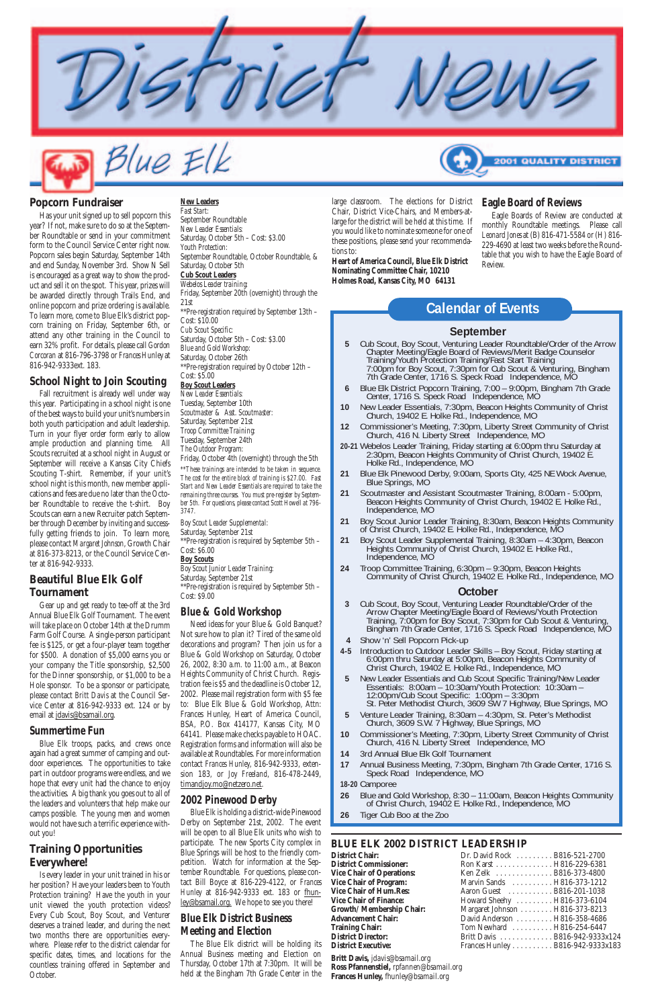#### **September**

- **5** Cub Scout, Boy Scout, Venturing Leader Roundtable/Order of the Arrow Chapter Meeting/Eagle Board of Reviews/Merit Badge Counselor Training/Youth Protection Training/Fast Start Training 7:00pm for Boy Scout, 7:30pm for Cub Scout & Venturing, Bingham 7th Grade Center, 1716 S. Speck Road Independence, MO
- **6** Blue Elk District Popcorn Training, 7:00 9:00pm, Bingham 7th Grade Center, 1716 S. Speck Road Independence, MO
- **10** New Leader Essentials, 7:30pm, Beacon Heights Community of Christ Church, 19402 E. Holke Rd., Independence, MO
- **12** Commissioner's Meeting, 7:30pm, Liberty Street Community of Christ Church, 416 N. Liberty Street Independence, MO
- **20-21** Webelos Leader Training, Friday starting at 6:00pm thru Saturday at 2:30pm, Beacon Heights Community of Christ Church, 19402 E. Holke Rd., Independence, MO
- **21** Blue Elk Pinewood Derby, 9:00am, Sports City, 425 NE Wock Avenue, Blue Springs, MO
- **21** Scoutmaster and Assistant Scoutmaster Training, 8:00am 5:00pm, Beacon Heights Community of Christ Church, 19402 E. Holke Rd., Independence, MO
- **21** Boy Scout Junior Leader Training, 8:30am, Beacon Heights Community of Christ Church, 19402 E. Holke Rd., Independence, MO
- **21** Boy Scout Leader Supplemental Training, 8:30am 4:30pm, Beacon Heights Community of Christ Church, 19402 E. Holke Rd., Independence, MO
- **24** Troop Committee Training, 6:30pm 9:30pm, Beacon Heights Community of Christ Church, 19402 E. Holke Rd., Independence, MO

- **14** 3rd Annual Blue Elk Golf Tournament
- **17** Annual Business Meeting, 7:30pm, Bingham 7th Grade Center, 1716 S. Speck Road Independence, MO

#### **October**

- **3** Cub Scout, Boy Scout, Venturing Leader Roundtable/Order of the Arrow Chapter Meeting/Eagle Board of Reviews/Youth Protection Training, 7:00pm for Boy Scout, 7:30pm for Cub Scout & Venturing, Bingham 7th Grade Center, 1716 S. Speck Road Independence, MO
- **4** Show 'n' Sell Popcorn Pick-up
- **4-5** Introduction to Outdoor Leader Skills Boy Scout, Friday starting at 6:00pm thru Saturday at 5:00pm, Beacon Heights Community of Christ Church, 19402 E. Holke Rd., Independence, MO
- **5** New Leader Essentials and Cub Scout Specific Training/New Leader Essentials: 8:00am – 10:30am/Youth Protection: 10:30am – 12:00pm/Cub Scout Specific: 1:00pm – 3:30pm St. Peter Methodist Church, 3609 SW 7 Highway, Blue Springs, MO
- **5** Venture Leader Training, 8:30am 4:30pm, St. Peter's Methodist Church, 3609 S.W. 7 Highway, Blue Springs, MO
- **10** Commissioner's Meeting, 7:30pm, Liberty Street Community of Christ

Church, 416 N. Liberty Street Independence, MO

Blue Elk is holding a district-wide Pinewood Derby on September 21st, 2002. The event will be open to all Blue Elk units who wish to participate. The new Sports City complex in Blue Springs will be host to the friendly competition. Watch for information at the September Roundtable. For questions, please contact Bill Boyce at 816-229-4122, or *Frances Hunley* at 816-942-9333 ext. 183 or fhunley@bsamail.org. We hope to see you there!

**18-20** Camporee

**26** Blue and Gold Workshop, 8:30 – 11:00am, Beacon Heights Community of Christ Church, 19402 E. Holke Rd., Independence, MO

**26** Tiger Cub Boo at the Zoo

# **Calendar of Events**

#### **New Leaders**

*Fast Start:*  September Roundtable *New Leader Essentials:* Saturday, October 5th – Cost: \$3.00 *Youth Protection:*  September Roundtable, October Roundtable, & Saturday, October 5th **Cub Scout Leaders** *Webelos Leader training:*  Friday, September 20th (overnight) through the 21st \*\*Pre-registration required by September 13th – Cost: \$10.00 *Cub Scout Specific:*  Saturday, October 5th – Cost: \$3.00 *Blue and Gold Workshop:* Saturday, October 26th \*\*Pre-registration required by October 12th – Cost: \$5.00 **Boy Scout Leaders** *New Leader Essentials:*  Tuesday, September 10th *Scoutmaster & Asst. Scoutmaster:*  Saturday, September 21st *Troop Committee Training:*  Tuesday, September 24th *The Outdoor Program:*  Friday, October 4th (overnight) through the 5th *\*\*These trainings are intended to be taken in sequence. The cost for the entire block of training is \$27.00. Fast Start and New Leader Essentials are required to take the remaining three courses. You must pre-register by September 5th. For questions, please contact Scott Howell at 796- 3747.*

*Boy Scout Leader Supplemental:*  Saturday, September 21st \*\*Pre-registration is required by September 5th – Cost: \$6.00 **Boy Scouts** *Boy Scout Junior Leader Training:* 

Saturday, September 21st \*\*Pre-registration is required by September 5th – Cost: \$9.00

#### **Blue & Gold Workshop**

Need ideas for your Blue & Gold Banquet? Not sure how to plan it? Tired of the same old decorations and program? Then join us for a Blue & Gold Workshop on Saturday, October 26, 2002, 8:30 a.m. to 11:00 a.m., at Beacon Heights Community of Christ Church. Registration fee is \$5 and the deadline is October 12, 2002. Please mail registration form with \$5 fee to: Blue Elk Blue & Gold Workshop, Attn: Frances Hunley, Heart of America Council, BSA, P.O. Box 414177, Kansas City, MO 64141. Please make checks payable to HOAC. Registration forms and information will also be available at Roundtables. For more information contact *Frances Hunley*, 816-942-9333, extension 183, or *Joy Freeland*, 816-478-2449, timandjoy.mo@netzero.net.

#### **QUALIT**

**District Chair:** Dr. David Rock . . . . . . . . . B816-521-2700 **District Commissioner: Vice Chair of Operations: Vice Chair of Program: Vice Chair of Hum.Res: Vice Chair of Finance:** Growth/ Membership Chair: **Advancement Chair: Training Chair: District Director: District Executive:** 

| Ron Karst H816-229-6381          |
|----------------------------------|
| Ken Zelk   B816-373-4800         |
| Marvin Sands  H816-373-1212      |
|                                  |
| Howard Sheehy  H816-373-6104     |
| Margaret Johnson H816-373-8213   |
| David Anderson  H816-358-4686    |
| Tom Newhard  H816-254-6447       |
| Britt Davis  B816-942-9333x124   |
| Frances Hunley B816-942-9333x183 |
|                                  |

## **2002 Pinewood Derby**

#### **Blue Elk District Business Meeting and Election**

The Blue Elk district will be holding its Annual Business meeting and Election on Thursday, October 17th at 7:30pm. It will be held at the Bingham 7th Grade Center in the

large classroom. The elections for District Chair, District Vice-Chairs, and Members-atlarge for the district will be held at this time. If you would like to nominate someone for one of these positions, please send your recommendations to:

**Heart of America Council, Blue Elk District Nominating Committee Chair, 10210 Holmes Road, Kansas City, MO 64131**

#### **Eagle Board of Reviews**

Eagle Boards of Review are conducted at monthly Roundtable meetings. Please call *Leonard Jones* at (B) 816-471-5584 or (H) 816- 229-4690 at least two weeks before the Roundtable that you wish to have the Eagle Board of Review.



#### **Popcorn Fundraiser**

Has your unit signed up to sell popcorn this year? If not, make sure to do so at the September Roundtable or send in your commitment form to the Council Service Center right now. Popcorn sales begin Saturday, September 14th and end Sunday, November 3rd. Show N Sell is encouraged as a great way to show the product and sell it on the spot. This year, prizes will be awarded directly through Trails End, and online popcorn and prize ordering is available. To learn more, come to Blue Elk's district popcorn training on Friday, September 6th, or attend any other training in the Council to earn 32% profit. For details, please call *Gordon Corcoran* at 816-796-3798 or *Frances Hunley* at 816-942-9333ext. 183.

#### **School Night to Join Scouting**

Fall recruitment is already well under way this year. Participating in a school night is one of the best ways to build your unit's numbers in both youth participation and adult leadership. Turn in your flyer order form early to allow ample production and planning time. All Scouts recruited at a school night in August or September will receive a Kansas City Chiefs Scouting T-shirt. Remember, if your unit's school night is this month, new member applications and fees are due no later than the October Roundtable to receive the t-shirt. Boy Scouts can earn a new Recruiter patch September through December by inviting and successfully getting friends to join. To learn more, please contact *Margaret Johnson*, Growth Chair at 816-373-8213, or the Council Service Center at 816-942-9333.

#### **Beautiful Blue Elk Golf Tournament**

Gear up and get ready to tee-off at the 3rd Annual Blue Elk Golf Tournament. The event will take place on October 14th at the Drumm Farm Golf Course. A single-person participant fee is \$125, or get a four-player team together for \$500. A donation of \$5,000 earns you or your company the Title sponsorship, \$2,500 for the Dinner sponsorship, or \$1,000 to be a Hole sponsor. To be a sponsor or participate, please contact *Britt Davis* at the Council Service Center at 816-942-9333 ext. 124 or by email at jdavis@bsamail.org.

#### **Summertime Fun**

Blue Elk troops, packs, and crews once again had a great summer of camping and outdoor experiences. The opportunities to take part in outdoor programs were endless, and we hope that every unit had the chance to enjoy the activities. A big thank you goes out to all of the leaders and volunteers that help make our camps possible. The young men and women would not have such a terrific experience without you!

# **Training Opportunities Everywhere!**

Is every leader in your unit trained in his or her position? Have your leaders been to Youth Protection training? Have the youth in your unit viewed the youth protection videos? Every Cub Scout, Boy Scout, and Venturer deserves a trained leader, and during the next two months there are opportunities everywhere. Please refer to the district calendar for specific dates, times, and locations for the countless training offered in September and October.

#### **BLUE ELK 2002 DISTRICT LEADERSHIP**

**Britt Davis,** *jdavis@bsamail.org* **Ross Pfannenstiel,** *rpfannen@bsamail.org* **Frances Hunley,** *fhunley@bsamail.org*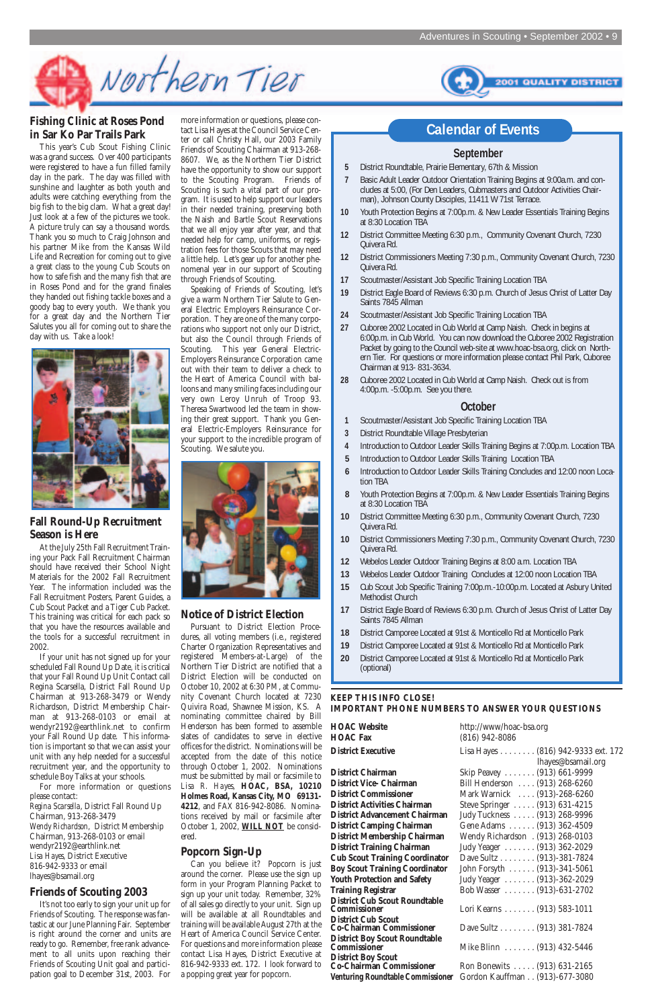

more information or questions, please contact Lisa Hayes at the Council Service Center or call Christy Hall, our 2003 Family Friends of Scouting Chairman at 913-268- 8607. We, as the Northern Tier District have the opportunity to show our support to the Scouting Program. Friends of Scouting is such a vital part of our program. It is used to help support our leaders in their needed training, preserving both the Naish and Bartle Scout Reservations that we all enjoy year after year, and that needed help for camp, uniforms, or registration fees for those Scouts that may need a little help. Let's gear up for another phenomenal year in our support of Scouting through Friends of Scouting.

Speaking of Friends of Scouting, let's give a warm Northern Tier Salute to General Electric Employers Reinsurance Corporation. They are one of the many corporations who support not only our District, but also the Council through Friends of Scouting. This year General Electric-Employers Reinsurance Corporation came out with their team to deliver a check to the Heart of America Council with balloons and many smiling faces including our very own Leroy Unruh of Troop 93. Theresa Swartwood led the team in showing their great support. Thank you General Electric-Employers Reinsurance for your support to the incredible program of Scouting. We salute you.



#### **Notice of District Election**

Pursuant to District Election Procedures, all voting members (i.e., registered Charter Organization Representatives and registered Members-at-Large) of the Northern Tier District are notified that a District Election will be conducted on October 10, 2002 at 6:30 PM, at Community Covenant Church located at 7230 Quivira Road, Shawnee Mission, KS. A nominating committee chaired by Bill Henderson has been formed to assemble slates of candidates to serve in elective offices for the district. Nominations will be accepted from the date of this notice through October 1, 2002. Nominations must be submitted by mail or facsimile to *Lisa R. Hayes*, **HOAC, BSA, 10210 Holmes Road, Kansas City, MO 69131- 4212**, and FAX 816-942-8086. Nominations received by mail or facsimile after October 1, 2002, **WILL NOT** be considered.



# **Popcorn Sign-Up**

Can you believe it? Popcorn is just around the corner. Please use the sign up form in your Program Planning Packet to sign up your unit today. Remember, 32% of all sales go directly to your unit. Sign up will be available at all Roundtables and training will be available August 27th at the Heart of America Council Service Center. For questions and more information please contact Lisa Hayes, District Executive at 816-942-9333 ext. 172. I look forward to a popping great year for popcorn.

#### **Fishing Clinic at Roses Pond in Sar Ko Par Trails Park**

This year's Cub Scout Fishing Clinic was a grand success. Over 400 participants were registered to have a fun filled family day in the park. The day was filled with sunshine and laughter as both youth and adults were catching everything from the big fish to the big clam. What a great day! Just look at a few of the pictures we took. A picture truly can say a thousand words. Thank you so much to Craig Johnson and his partner Mike from the Kansas Wild Life and Recreation for coming out to give a great class to the young Cub Scouts on how to safe fish and the many fish that are in Roses Pond and for the grand finales they handed out fishing tackle boxes and a goody bag to every youth. We thank you for a great day and the Northern Tier Salutes you all for coming out to share the day with us. Take a look!



#### **Fall Round-Up Recruitment Season is Here**

At the July 25th Fall Recruitment Training your Pack Fall Recruitment Chairman should have received their School Night Materials for the 2002 Fall Recruitment Year. The information included was the Fall Recruitment Posters, Parent Guides, a Cub Scout Packet and a Tiger Cub Packet. This training was critical for each pack so that you have the resources available and the tools for a successful recruitment in 2002.

If your unit has not signed up for your scheduled Fall Round Up Date, it is critical that your Fall Round Up Unit Contact call Regina Scarsella, District Fall Round Up Chairman at 913-268-3479 or Wendy Richardson, District Membership Chairman at 913-268-0103 or email at wendyr2192@earthlink.net to confirm your Fall Round Up date. This information is important so that we can assist your unit with any help needed for a successful recruitment year, and the opportunity to schedule Boy Talks at your schools.

For more information or questions please contact:

*Regina Scarsella*, District Fall Round Up Chairman, 913-268-3479 *Wendy Richardson*, District Membership Chairman, 913-268-0103 or email wendyr2192@earthlink.net *Lisa Hayes*, District Executive 816-942-9333 or email lhayes@bsamail.org

# **Friends of Scouting 2003**

It's not too early to sign your unit up for Friends of Scouting. The response was fantastic at our June Planning Fair. September is right around the corner and units are ready to go. Remember, free rank advancement to all units upon reaching their Friends of Scouting Unit goal and participation goal to December 31st, 2003. For

#### **September**

- **5** District Roundtable, Prairie Elementary, 67th & Mission
- **7** Basic Adult Leader Outdoor Orientation Training Begins at 9:00a.m. and concludes at 5:00, (For Den Leaders, Cubmasters and Outdoor Activities Chairman), Johnson County Disciples, 11411 W 71st Terrace.
- **10** Youth Protection Begins at 7:00p.m. & New Leader Essentials Training Begins at 8:30 Location TBA
- **12** District Committee Meeting 6:30 p.m., Community Covenant Church, 7230 Quivera Rd.
- **12** District Commissioners Meeting 7:30 p.m., Community Covenant Church, 7230 Quivera Rd.
- **17** Scoutmaster/Assistant Job Specific Training Location TBA
- **19** District Eagle Board of Reviews 6:30 p.m. Church of Jesus Christ of Latter Day Saints 7845 Allman
- **24** Scoutmaster/Assistant Job Specific Training Location TBA
- **27** Cuboree 2002 Located in Cub World at Camp Naish. Check in begins at 6:00p.m. in Cub World. You can now download the Cuboree 2002 Registration Packet by going to the Council web-site at www.hoac-bsa.org, click on Northern Tier. For questions or more information please contact Phil Park, Cuboree Chairman at 913- 831-3634.
- **28** Cuboree 2002 Located in Cub World at Camp Naish. Check out is from 4:00p.m. -5:00p.m. See you there.

#### **October**

- **1** Scoutmaster/Assistant Job Specific Training Location TBA
- **3** District Roundtable Village Presbyterian
- **4** Introduction to Outdoor Leader Skills Training Begins at 7:00p.m. Location TBA
- **5** Introduction to Outdoor Leader Skills Training Location TBA
- **6** Introduction to Outdoor Leader Skills Training Concludes and 12:00 noon Location TBA
- **8** Youth Protection Begins at 7:00p.m. & New Leader Essentials Training Begins at 8:30 Location TBA
- **10** District Committee Meeting 6:30 p.m., Community Covenant Church, 7230 Quivera Rd.
- **10** District Commissioners Meeting 7:30 p.m., Community Covenant Church, 7230 Quivera Rd.
- **12** Webelos Leader Outdoor Training Begins at 8:00 a.m. Location TBA
- **13** Webelos Leader Outdoor Training Concludes at 12:00 noon Location TBA
- **15** Cub Scout Job Specific Training 7:00p.m.-10:00p.m. Located at Asbury United Methodist Church
- **17** District Eagle Board of Reviews 6:30 p.m. Church of Jesus Christ of Latter Day Saints 7845 Allman
- **18** District Camporee Located at 91st & Monticello Rd at Monticello Park
- **19** District Camporee Located at 91st & Monticello Rd at Monticello Park
- **20** District Camporee Located at 91st & Monticello Rd at Monticello Park (optional)

# **Calendar of Events**

#### **KEEP THIS INFO CLOSE! IMPORTANT PHONE NUMBERS TO ANSWER YOUR QUESTIONS**

**HOAC Fax** (816) 942-8086

**HOAC Website** http://www/hoac-bsa.org **District Executive** Lisa Hayes . . . . . . . . (816) 942-9333 ext. 172 lhayes@bsamail.org **District Commissioner** Mark Warnick . . . . (913)-268-6260 **District Activities Chairman** Steve Springer . . . . . (913) 631-4215 **District Advancement Chairman** Judy Tuckness . . . . . (913) 268-9996 **District Camping Chairman** Gene Adams . . . . . . (913) 362-4509 **District Membership Chairman** Wendy Richardson . (913) 268-0103 District Training Chairman<br> **Condinator**Dave Sultz
........ (913) -381-7824 Dave Sultz . . . . . . . . (913)-381-7824 **Boy Scout Training Coordinator** John Forsyth . . . . . . (913)-341-5061<br>**Youth Protection and Safety** Judy Yeager . . . . . . . (913)-362-2029 **Judy Yeager . . . . . . . . (913)-362-2029 Training Registrar** Bob Wasser . . . . . . . (913)-631-2702 Lori Kearns . . . . . . . (913) 583-1011 Dave Sultz . . . . . . . . . (913) 381-7824 **Commissioner** Mike Blinn . . . . . . . (913) 432-5446 **Ron Bonewits . . . . . . (913) 631-2165 Venturing Roundtable Commissioner** Gordon Kauffman . . (913)-677-3080

**District Chairman** Skip Peavey . . . . . . . (913) 661-9999 **District Vice- Chairman** Bill Henderson . . . . (913) 268-6260 **District Cub Scout Roundtable District Cub Scout District Boy Scout Roundtable District Boy Scout**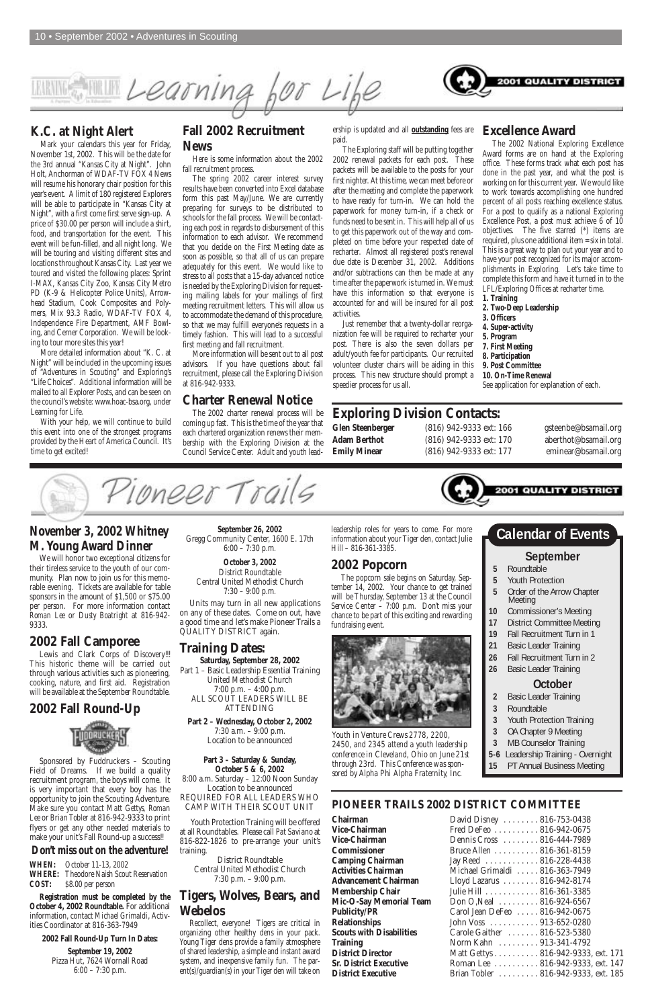

# **November 3, 2002 Whitney M. Young Award Dinner**

We will honor two exceptional citizens for their tireless service to the youth of our community. Plan now to join us for this memorable evening. Tickets are available for table sponsors in the amount of \$1,500 or \$75.00 per person. For more information contact *Roman Lee* or *Dusty Boatright* at 816-942- 9333.

# **2002 Fall Camporee**

Lewis and Clark Corps of Discovery!!! This historic theme will be carried out through various activities such as pioneering, cooking, nature, and first aid. Registration will be available at the September Roundtable.

# **2002 Fall Round-Up**



Sponsored by Fuddruckers – Scouting Field of Dreams. If we build a quality recruitment program, the boys will come. It is very important that every boy has the opportunity to join the Scouting Adventure. Make sure you contact *Matt Gettys, Roman Lee* or *Brian Tobler* at 816-942-9333 to print flyers or get any other needed materials to make your unit's Fall Round-up a success!!

#### **Don't miss out on the adventure!**

**WHEN:** October 11-13, 2002 **WHERE:** Theodore Naish Scout Reservation **COST:** \$8.00 per person

**Registration must be completed by the October 4, 2002 Roundtable.** For additional information, contact *Michael Grimaldi*, Activities Coordinator at 816-363-7949

**2002 Fall Round-Up Turn In Dates:**

**September 19, 2002** Pizza Hut, 7624 Wornall Road 6:00 – 7:30 p.m.

**September 26, 2002** Gregg Community Center, 1600 E. 17th 6:00 – 7:30 p.m.

**October 3, 2002** District Roundtable Central United Methodist Church 7:30 – 9:00 p.m.

Units may turn in all new applications on any of these dates. Come on out, have a good time and let's make Pioneer Trails a QUALITY DISTRICT again.

#### **Training Dates:**

Pioneer Trail

**Saturday, September 28, 2002** Part 1 – Basic Leadership Essential Training United Methodist Church 7:00 p.m. – 4:00 p.m. ALL SCOUT LEADERS WILL BE ATTENDING

**Part 2 – Wednesday, October 2, 2002** 7:30 a.m. – 9:00 p.m. Location to be announced

**Part 3 – Saturday & Sunday, October 5 & 6, 2002** 8:00 a.m. Saturday – 12:00 Noon Sunday Location to be announced REQUIRED FOR ALL LEADERS WHO CAMP WITH THEIR SCOUT UNIT

Youth Protection Training will be offered at all Roundtables. Please call *Pat Saviano* at 816-822-1826 to pre-arrange your unit's training.

> District Roundtable Central United Methodist Church 7:30 p.m. – 9:00 p.m.

# **Tigers, Wolves, Bears, and Webelos**

Recollect, everyone! Tigers are critical in organizing other healthy dens in your pack. Young Tiger dens provide a family atmosphere of shared leadership, a simple and instant award system, and inexpensive family fun. The parent(s)/guardian(s) in your Tiger den will take on

#### **September**

- **5** Roundtable
- **5** Youth Protection
- **5** Order of the Arrow Chapter Meeting
- **10** Commissioner's Meeting
- **17** District Committee Meeting
- **19** Fall Recruitment Turn in 1
- **21** Basic Leader Training
- **26** Fall Recruitment Turn in 2
- **26** Basic Leader Training

### **October**

- **2** Basic Leader Training
- **3** Roundtable
- **3** Youth Protection Training
- **3** OA Chapter 9 Meeting
- 

**3** MB Counselor Training **5-6** Leadership Training - Overnight **15** PT Annual Business Meeting

# **Calendar of Events**

### **K.C. at Night Alert**

Mark your calendars this year for Friday, November 1st, 2002. This will be the date for the 3rd annual "Kansas City at Night". John Holt, Anchorman of WDAF-TV FOX 4 News will resume his honorary chair position for this year's event. A limit of 180 registered Explorers will be able to participate in "Kansas City at Night", with a first come first serve sign-up. A price of \$30.00 per person will include a shirt, food, and transportation for the event. This event will be fun-filled, and all night long. We will be touring and visiting different sites and locations throughout Kansas City. Last year we toured and visited the following places: Sprint I-MAX, Kansas City Zoo, Kansas City Metro PD (K-9 & Helicopter Police Units), Arrowhead Stadium, Cook Composites and Polymers, Mix 93.3 Radio, WDAF-TV FOX 4, Independence Fire Department, AMF Bowling, and Cerner Corporation. We will be looking to tour more sites this year!

More detailed information about "K. C. at Night" will be included in the upcoming issues of "Adventures in Scouting" and Exploring's "Life Choices". Additional information will be mailed to all Explorer Posts, and can be seen on the council's website: www.hoac-bsa.org, under Learning for Life.

With your help, we will continue to build this event into one of the strongest programs provided by the Heart of America Council. It's time to get excited!

# **Fall 2002 Recruitment News**

Here is some information about the 2002 fall recruitment process.

The spring 2002 career interest survey results have been converted into Excel database form this past May/June. We are currently preparing for surveys to be distributed to schools for the fall process. We will be contacting each post in regards to disbursement of this information to each advisor. We recommend that you decide on the First Meeting date as soon as possible, so that all of us can prepare adequately for this event. We would like to stress to all posts that a 15-day advanced notice is needed by the Exploring Division for requesting mailing labels for your mailings of first meeting recruitment letters. This will allow us to accommodate the demand of this procedure, so that we may fulfill everyone's requests in a timely fashion. This will lead to a successful first meeting and fall recruitment.

More information will be sent out to all post advisors. If you have questions about fall recruitment, please call the Exploring Division at 816-942-9333.

#### **Charter Renewal Notice**

The 2002 charter renewal process will be coming up fast. This is the time of the year that each chartered organization renews their membership with the Exploring Division at the Council Service Center. Adult and youth leadership is updated and all **outstanding** fees are paid.

The Exploring staff will be putting together 2002 renewal packets for each post. These packets will be available to the posts for your first nighter. At this time, we can meet before or after the meeting and complete the paperwork to have ready for turn-in. We can hold the paperwork for money turn-in, if a check or funds need to be sent in. This will help all of us to get this paperwork out of the way and completed on time before your respected date of recharter. Almost all registered post's renewal due date is December 31, 2002. Additions and/or subtractions can then be made at any time after the paperwork is turned in. We must have this information so that everyone is accounted for and will be insured for all post activities.

Just remember that a twenty-dollar reorganization fee will be required to recharter your post. There is also the seven dollars per adult/youth fee for participants. Our recruited volunteer cluster chairs will be aiding in this process. This new structure should prompt a speedier process for us all.

# **Excellence Award**

The 2002 National Exploring Excellence Award forms are on hand at the Exploring office. These forms track what each post has done in the past year, and what the post is working on for this current year. We would like to work towards accomplishing one hundred percent of all posts reaching excellence status. For a post to qualify as a national Exploring Excellence Post, a post must achieve 6 of 10 objectives. The five starred (\*) items are required, plus one additional item = six in total. This is a great way to plan out your year and to have your post recognized for its major accomplishments in Exploring. Let's take time to complete this form and have it turned in to the LFL/Exploring Offices at recharter time.

- **1. Training**
- **2. Two-Deep Leadership**
- **3. Officers**
- **4. Super-activity**
- **5. Program**
- **7. First Meeting**
- **8. Participation**
- **9. Post Committee**
- **10. On-Time Renewal**
- See application for explanation of each.

#### **Exploring Division Contacts:**

Glen Steenberger (816) 942-9333 ext: 166 gsteenbe@bsamail.org **Adam Berthot** (816) 942-9333 ext: 170 aberthot@bsamail.org **Emily Minear** (816) 942-9333 ext: 177 eminear@bsamail.org





*Youth in Venture Crews 2778, 2200,*

*2450, and 2345 attend a youth leadership conference in Cleveland, Ohio on June 21st through 23rd. This Conference was sponsored by Alpha Phi Alpha Fraternity, Inc.*

leadership roles for years to come. For more information about your Tiger den, contact Julie Hill – 816-361-3385.

### **2002 Popcorn**

The popcorn sale begins on Saturday, September 14, 2002. Your chance to get trained will be Thursday, September 13 at the Council Service Center – 7:00 p.m. Don't miss your chance to be part of this exciting and rewarding fundraising event.

#### **PIONEER TRAILS 2002 DISTRICT COMMITTEE**

| Chairman                        | David Disney  816-753-0438                      |
|---------------------------------|-------------------------------------------------|
| Vice-Chairman                   | Fred DeFeo  816-942-0675                        |
| Vice-Chairman                   | Dennis Cross  816-444-7989                      |
| <b>Commissioner</b>             | Bruce Allen 816-361-8159                        |
| <b>Camping Chairman</b>         | Jay Reed 816-228-4438                           |
| <b>Activities Chairman</b>      | Michael Grimaldi  816-363-7949                  |
| <b>Advancement Chairman</b>     | Lloyd Lazarus 816-942-8174                      |
| <b>Membership Chair</b>         | Julie Hill 816-361-3385                         |
| Mic-O-Say Memorial Team         | Don O, Neal $\ldots \ldots \ldots 816-924-6567$ |
| <b>Publicity/PR</b>             | Carol Jean DeFeo  816-942-0675                  |
| Relationships                   | John Voss 913-652-0280                          |
| <b>Scouts with Disabilities</b> | Carole Gaither  816-523-5380                    |
| <b>Training</b>                 | Norm Kahn 913-341-4792                          |
| <b>District Director</b>        | Matt Gettys 816-942-9333, ext. 171              |
| <b>Sr. District Executive</b>   | Roman Lee 816-942-9333, ext. 147                |
| <b>District Executive</b>       | Brian Tobler 816-942-9333, ext. 185             |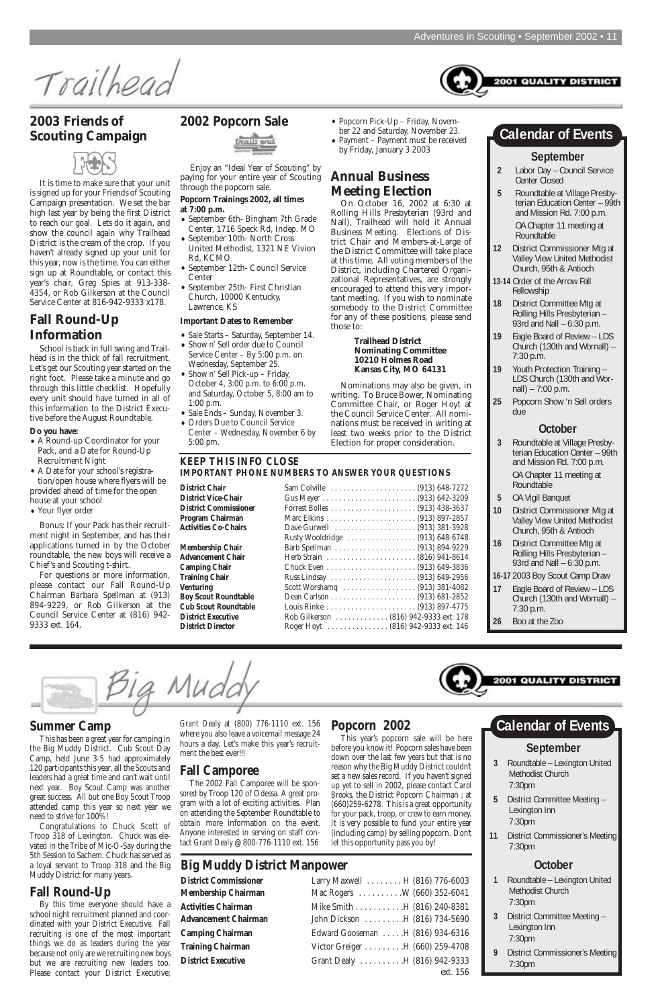Trailhead

### **2003 Friends of Scouting Campaign**



It is time to make sure that your unit is signed up for your Friends of Scouting Campaign presentation. We set the bar high last year by being the first District to reach our goal. Lets do it again, and show the council again why Trailhead District is the cream of the crop. If you haven't already signed up your unit for this year, now is the time. You can either sign up at Roundtable, or contact this year's chair, Greg Spies at 913-338- 4354, or Rob Gilkerson at the Council Service Center at 816-942-9333 x178.

# **Fall Round-Up Information**

School is back in full swing and Trailhead is in the thick of fall recruitment. Let's get our Scouting year started on the right foot. Please take a minute and go through this little checklist. Hopefully every unit should have turned in all of this information to the District Executive before the August Roundtable.

#### **Do you have:**

- A Round-up Coordinator for your Pack, and a Date for Round-Up Recruitment Night
- A Date for your school's registration/open house where flyers will be provided ahead of time for the open

house at your school

• Your flyer order

Bonus: If your Pack has their recruitment night in September, and has their applications turned in by the October roundtable, the new boys will receive a Chief's and Scouting t-shirt.

For questions or more information, please contact our Fall Round-Up Chairman *Barbara Spellman* at (913) 894-9229, or *Rob Gilkerson* at the Council Service Center at (816) 942- 9333 ext. 164.

#### **2002 Popcorn Sale**



Enjoy an "Ideal Year of Scouting" by paying for your entire year of Scouting through the popcorn sale.

#### **Popcorn Trainings 2002, all times at 7:00 p.m.**

- September 6th- Bingham 7th Grade Center, 1716 Speck Rd, Indep. MO
- September 10th- North Cross United Methodist, 1321 NE Vivion Rd, KCMO
- September 12th- Council Service Center
- September 25th- First Christian Church, 10000 Kentucky, Lawrence, KS

#### **Important Dates to Remember**

- Sale Starts Saturday, September 14. • Show n' Sell order due to Council Service Center – By 5:00 p.m. on Wednesday, September 25.
- Show n' Sell Pick-up Friday, October 4, 3:00 p.m. to 6:00 p.m. and Saturday, October 5, 8:00 am to 1:00 p.m.
- Sale Ends Sunday, November 3.

**District Chair** Sam Colville . . . . . . . . . . . . . . . . . . . . . (913) 648-7272 **District Vice-Chair** Gus Meyer . . . . . . . . . . . . . . . . . . . . . . . (913) 642-3209 **District Commissioner** Forrest Bolles . . . . . . . . . . . . . . . . . . . . . (913) 438-3637 **Program Chairman** Marc Elkins . . . . . . . . . . . . . . . . . . . . . . (913) 897-2857 Activities Co-Chairs **Dave Gurwell ..................** (913) 381-3928

• Orders Due to Council Service Center – Wednesday, November 6 by 5:00 pm.

- Popcorn Pick-Up Friday, November 22 and Saturday, November 23.
- Payment Payment must be received by Friday, January 3 2003

# **Annual Business Meeting Election**

On October 16, 2002 at 6:30 at Rolling Hills Presbyterian (93rd and Nall), Trailhead will hold it Annual Business Meeting. Elections of District Chair and Members-at-Large of the District Committee will take place at this time. All voting members of the District, including Chartered Organizational Representatives, are strongly encouraged to attend this very important meeting. If you wish to nominate somebody to the District Committee for any of these positions, please send those to:

#### **Trailhead District Nominating Committee 10210 Holmes Road Kansas City, MO 64131**

Nominations may also be given, in writing. To Bruce Bower, Nominating Committee Chair, or Roger Hoyt at the Council Service Center. All nominations must be received in writing at least two weeks prior to the District Election for proper consideration.

#### **September**

- **2** Labor Day Council Service Center Closed
- **5** Roundtable at Village Presbyterian Education Center - 99th and Mission Rd. 7:00 p.m. OA Chapter 11 meeting at Roundtable
- **12** District Commissioner Mtg at Valley View United Methodist Church, 95th & Antioch
- **13-14** Order of the Arrow Fall Fellowship
- **18** District Committee Mtg at Rolling Hills Presbyterian – 93rd and Nall – 6:30 p.m.
- **19** Eagle Board of Review LDS Church (130th and Wornall) – 7:30 p.m.
- **19** Youth Protection Training LDS Church (130th and Wornall) – 7:00 p.m.
- **25** Popcorn Show 'n Sell orders due

#### **October**

**3** Roundtable at Village Presbyterian Education Center – 99th and Mission Rd. 7:00 p.m.

OA Chapter 11 meeting at Roundtable

- **5** OA Vigil Banquet
- **10** District Commissioner Mtg at Valley View United Methodist Church, 95th & Antioch
- **16** District Committee Mtg at Rolling Hills Presbyterian – 93rd and Nall – 6:30 p.m.

#### **16-17** 2003 Boy Scout Camp Draw

- **17** Eagle Board of Review LDS Church (130th and Wornall) – 7:30 p.m.
- **26** Boo at the Zoo

# **Calendar of Events**

**KEEP THIS INFO CLOSE**

**IMPORTANT PHONE NUMBERS TO ANSWER YOUR QUESTIONS**

Rusty Wooldridge . . . . . . . . . . . . . . . . . (913) 648-6748

**Membership Chair** Barb Spellman . . . . . . . . . . . . . . . . . . . . (913) 894-9229 **Advancement Chair** Herb Strain . . . . . . . . . . . . . . . . . . . . . . (816) 941-8614 **Camping Chair** Chuck Even . . . . . . . . . . . . . . . . . . . . . . (913) 649-3836 **Training Chair** Russ Lindsay . . . . . . . . . . . . . . . . . . . . . (913) 649-2956 **Venturing** Scott Worshamq . . . . . . . . . . . . . . . . . . (913) 381-4082 **Boy Scout Roundtable** Dean Carlson . . . . . . . . . . . . . . . . . . . . . (913) 681-2852 **Cub Scout Roundtable** Louis Rinke . . . . . . . . . . . . . . . . . . . . . . (913) 897-4775 **District Executive** Rob Gilkerson . . . . . . . . . . . . . (816) 942-9333 ext: 178 **District Director** Roger Hoyt . . . . . . . . . . . . . . . (816) 942-9333 ext: 146

**Summer Camp**

This has been a great year for camping in

the Big Muddy District. Cub Scout Day Camp, held June 3-5 had approximately 120 participants this year, all the Scouts and leaders had a great time and can't wait until next year. Boy Scout Camp was another great success. All but one Boy Scout Troop attended camp this year so next year we need to strive for 100%!

Congratulations to Chuck Scott of Troop 318 of Lexington. Chuck was elevated in the Tribe of Mic-O-Say during the 5th Session to Sachem. Chuck has served as a loyal servant to Troop 318 and the Big Muddy District for many years.

# **Fall Round-Up**

By this time everyone should have a school night recruitment planned and coordinated with your District Executive. Fall recruiting is one of the most important things we do as leaders during the year because not only are we recruiting new boys but we are recruiting new leaders too. Please contact your District Executive;

*Grant Dealy* at (800) 776-1110 ext. 156 where you also leave a voicemail message 24

hours a day. Let's make this year's recruitment the best ever!!!

# **Fall Camporee**

The 2002 Fall Camporee will be sponsored by Troop 120 of Odessa. A great program with a lot of exciting activities. Plan on attending the September Roundtable to obtain more information on the event. Anyone interested in serving on staff contact *Grant Dealy* @ 800-776-1110 ext. 156

**Popcorn 2002**

This year's popcorn sale will be here before you know it! Popcorn sales have been down over the last few years but that is no reason why the Big Muddy District couldn't set a new sales record. If you haven't signed up yet to sell in 2002, please contact *Carol Brooks*, the District Popcorn Chairman ; at (660)259-6278. This is a great opportunity for your pack, troop, or crew to earn money. It is very possible to fund your entire year (including camp) by selling popcorn. Don't let this opportunity pass you by!



# **Big Muddy District Manpower**

| <b>District Commissioner</b> | Larry Maxwell H (816) 776-6003   |
|------------------------------|----------------------------------|
| <b>Membership Chairman</b>   | Mac Rogers W (660) 352-6041      |
| <b>Activities Chairman</b>   | Mike Smith H (816) 240-8381      |
| <b>Advancement Chairman</b>  | John Dickson  H (816) 734-5690   |
| <b>Camping Chairman</b>      | Edward Gooseman H (816) 934-6316 |
| <b>Training Chairman</b>     | Victor Greiger H (660) 259-4708  |
| <b>District Executive</b>    | Grant Dealy H (816) 942-9333     |
|                              | ext. 156                         |

### **September**

- **3** Roundtable Lexington United Methodist Church 7:30pm
- **5** District Committee Meeting Lexington Inn 7:30pm
- **11** District Commissioner's Meeting 7:30pm

## **October**

- **1** Roundtable Lexington United Methodist Church 7:30pm
- **3** District Committee Meeting Lexington Inn 7:30pm
- **9** District Commissioner's Meeting 7:30pm

**Calendar of Events**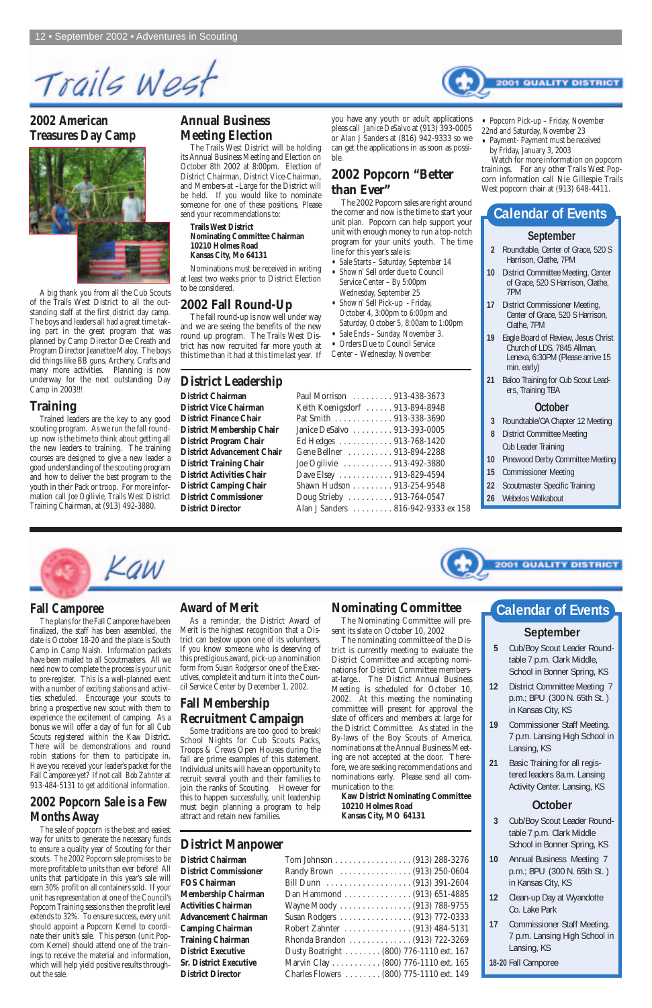Trails West

# **2002 American Treasures Day Camp**



A big thank you from all the Cub Scouts of the Trails West District to all the outstanding staff at the first district day camp. The boys and leaders all had a great time taking part in the great program that was planned by Camp Director Dee Creath and Program Director Jeanettee Maloy. The boys did things like BB guns, Archery, Crafts and many more activities. Planning is now underway for the next outstanding Day Camp in 2003!!!

# **Training**

Trained leaders are the key to any good scouting program. As we run the fall roundup now is the time to think about getting all the new leaders to training. The training courses are designed to give a new leader a good understanding of the scouting program and how to deliver the best program to the youth in their Pack or troop. For more information call *Joe Ogilivie*, Trails West District Training Chairman, at (913) 492-3880.

# **Annual Business Meeting Election**

The Trails West District will be holding its Annual Business Meeting and Election on October 8th 2002 at 8:00pm. Election of District Chairman, District Vice-Chairman, and Members-at –Large for the District will be held. If you would like to nominate someone for one of these positions, Please send your recommendations to:

**Trails West District Nominating Committee Chairman 10210 Holmes Road Kansas City, Mo 64131**

Nominations must be received in writing at least two weeks prior to District Election to be considered.

# **2002 Fall Round-Up**

The fall round-up is now well under way and we are seeing the benefits of the new round up program. The Trails West District has now recruited far more youth at this time than it had at this time last year. If

#### **September**

- **2** Roundtable, Center of Grace, 520 S Harrison, Olathe, 7PM
- **10** District Committee Meeting, Center of Grace, 520 S Harrison, Olathe, 7PM
- **17** District Commissioner Meeting, Center of Grace, 520 S Harrison, Olathe, 7PM
- **19** Eagle Board of Review, Jesus Christ Church of LDS, 7845 Allman, Lenexa, 6:30PM (Please arrive 15 min. early)
- **21** Baloo Training for Cub Scout Leaders, Training TBA

#### **October**

- **3** Roundtable/OA Chapter 12 Meeting
- **8** District Committee Meeting Cub Leader Training
- 10 Pinewood Derby Committee Meeting
- **15** Commissioner Meeting
- **22** Scoutmaster Specific Training
- **26** Webelos Walkabout

**001 QUALIT** 



# **Calendar of Events**

# **District Leadership**

**District Chairman** Paul Morrison . . . . . . . . . 913-438-3673 **District Vice Chairman** Keith Koenigsdorf . . . . . . 913-894-8948 **District Finance Chair** Pat Smith . . . . . . . . . . . . 913-338-3690 District Membership Chair Janice DeSalvo . . . . . . . . 913-393-0005 **District Program Chair** Ed Hedges . . . . . . . . . . . . 913-768-1420 **District Advancement Chair** Gene Bellner . . . . . . . . . . 913-894-2288 District Training Chair Joe Ogilivie ........... 913-492-3880 District Activities Chair Dave Elsey . . . . . . . . . . . 913-829-4594 District Camping Chair Shawn Hudson . . . . . . . . 913-254-9548 **District Commissioner** Doug Strieby ......... 913-764-0547 **District Director** Alan J Sanders . . . . . . . . . 816-942-9333 ex 158

you have any youth or adult applications pleas call *Janice DeSalvo* at (913) 393-0005 or *Alan J Sanders* at (816) 942-9333 so we can get the applications in as soon as possible.

## **2002 Popcorn "Better than Ever"**

The 2002 Popcorn sales are right around the corner and now is the time to start your unit plan. Popcorn can help support your unit with enough money to run a top-notch program for your units' youth. The time line for this year's sale is:

- Sale Starts Saturday, September 14
- Show n' Sell order due to Council Service Center – By 5:00pm Wednesday, September 25
- Show n' Sell Pick-up Friday, October 4, 3:00pm to 6:00pm and Saturday, October 5, 8:00am to 1:00pm
- Sale Ends Sunday, November 3.
- Orders Due to Council Service
- Center Wednesday, November

• Popcorn Pick-up – Friday, November 22nd and Saturday, November 23

• Payment- Payment must be received by Friday, January 3, 2003

Watch for more information on popcorn trainings. For any other Trails West Popcorn information call Nie Gillespie Trails West popcorn chair at (913) 648-4411.

### **Fall Camporee**

The plans for the Fall Camporee have been finalized, the staff has been assembled, the date is October 18-20 and the place is South Camp in Camp Naish. Information packets have been mailed to all Scoutmasters. All we need now to complete the process is your unit to pre-register. This is a well-planned event with a number of exciting stations and activities scheduled. Encourage your scouts to bring a prospective new scout with them to experience the excitement of camping. As a bonus we will offer a day of fun for all Cub Scouts registered within the Kaw District. There will be demonstrations and round robin stations for them to participate in. Have you received your leader's packet for the Fall Camporee yet? If not call *Bob Zahnter* at 913-484-5131 to get additional information.

# **2002 Popcorn Sale is a Few Months Away**

The sale of popcorn is the best and easiest way for units to generate the necessary funds to ensure a quality year of Scouting for their scouts. The 2002 Popcorn sale promises to be more profitable to units than ever before! All units that participate in this year's sale will earn 30% profit on all containers sold. If your unit has representation at one of the Council's Popcorn Training sessions then the profit level extends to 32%. To ensure success, every unit should appoint a Popcorn Kernel to coordinate their unit's sale. This person (unit Popcorn Kernel) should attend one of the trainings to receive the material and information, which will help yield positive results throughout the sale.

#### **Award of Merit**

As a reminder, the District Award of Merit is the highest recognition that a District can bestow upon one of its volunteers. If you know someone who is deserving of this prestigious award, pick-up a nomination form from *Susan Rodgers* or one of the Executives, complete it and turn it into the Council Service Center by December 1, 2002.

# **Fall Membership Recruitment Campaign**

Some traditions are too good to break! School Nights for Cub Scouts Packs, Troops & Crews Open Houses during the fall are prime examples of this statement. Individual units will have an opportunity to recruit several youth and their families to join the ranks of Scouting. However for this to happen successfully, unit leadership must begin planning a program to help attract and retain new families.

# **Nominating Committee**

The Nominating Committee will present its slate on October 10, 2002

The nominating committee of the District is currently meeting to evaluate the District Committee and accepting nominations for District Committee membersat-large.. The District Annual Business Meeting is scheduled for October 10, 2002. At this meeting the nominating committee will present for approval the slate of officers and members at large for the District Committee. As stated in the By-laws of the Boy Scouts of America, nominations at the Annual Business Meeting are not accepted at the door. Therefore, we are seeking recommendations and nominations early. Please send all communication to the: **Kaw District Nominating Committee 10210 Holmes Road Kansas City, MO 64131**

**District Manpower**

| District Chairman             |
|-------------------------------|
| <b>District Commissioner</b>  |
| <b>FOS Chairman</b>           |
| <b>Membership Chairman</b>    |
| <b>Activities Chairman</b>    |
| <b>Advancement Chairman</b>   |
| <b>Camping Chairman</b>       |
| <b>Training Chairman</b>      |
| <b>District Executive</b>     |
| <b>Sr. District Executive</b> |
| <b>District Director</b>      |

**District Chairman** Tom Johnson . . . . . . . . . . . . . . . . . (913) 288-3276 **District Commissioner** Randy Brown . . . . . . . . . . . . . . . . (913) 250-0604 **FOS Chairman** Bill Dunn . . . . . . . . . . . . . . . . . . . (913) 391-2604 **Membership Chairman** Dan Hammond . . . . . . . . . . . . . . . (913) 651-4885 **Activities Chairman** Wayne Moody . . . . . . . . . . . . . . . . (913) 788-9755 **Advancement Chairman** Susan Rodgers . . . . . . . . . . . . . . . . (913) 772-0333 **Camping Chairman** Robert Zahnter . . . . . . . . . . . . . . . (913) 484-5131 **Training Chairman** Rhonda Brandon . . . . . . . . . . . . . . (913) 722-3269 Dusty Boatright . . . . . . . . (800) 776-1110 ext. 167 Marvin Clay . . . . . . . . . . . (800) 776-1110 ext. 165 **District Director** Charles Flowers . . . . . . . . (800) 775-1110 ext. 149

#### **September**

- **5** Cub/Boy Scout Leader Roundtable 7 p.m. Clark Middle, School in Bonner Spring, KS
- **12** District Committee Meeting 7 p.m.; BPU (300 N. 65th St. ) in Kansas City, KS
- **19** Commissioner Staff Meeting. 7 p.m. Lansing High School in



Lansing, KS

**21** Basic Training for all registered leaders 8a.m. Lansing Activity Center. Lansing, KS

# **October**

- **3** Cub/Boy Scout Leader Roundtable 7 p.m. Clark Middle School in Bonner Spring, KS
- **10** Annual Business Meeting 7 p.m.; BPU (300 N. 65th St. ) in Kansas City, KS
- **12** Clean-up Day at Wyandotte Co. Lake Park
- **17** Commissioner Staff Meeting. 7 p.m. Lansing High School in Lansing, KS

**18-20** Fall Camporee

# **Calendar of Events**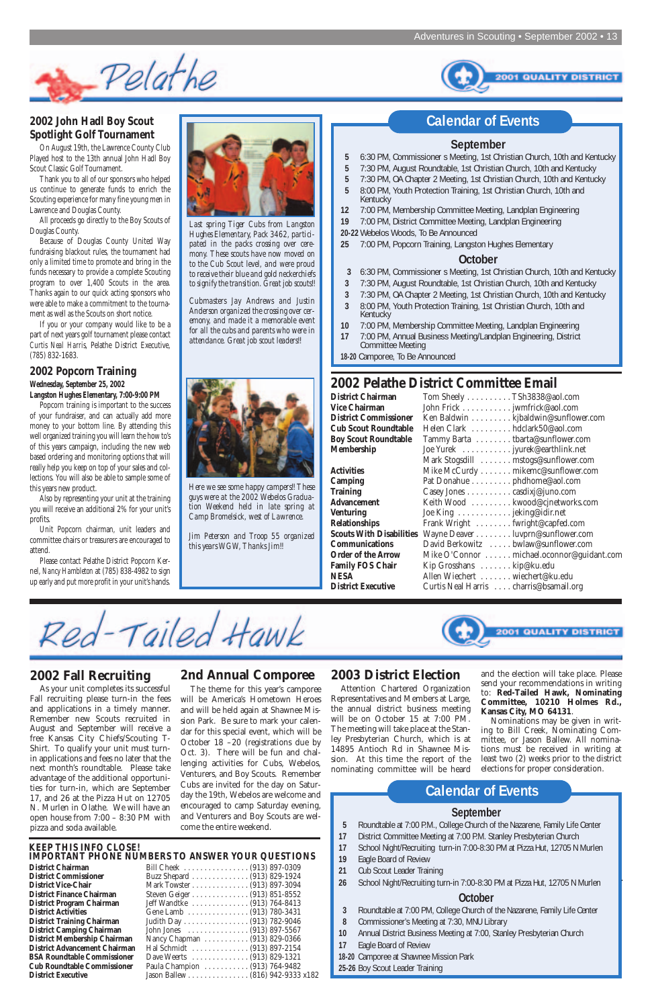Pelathe



#### **2002 John Hadl Boy Scout Spotlight Golf Tournament**

On August 19th, the Lawrence County Club Played host to the 13th annual John Hadl Boy Scout Classic Golf Tournament.

Thank you to all of our sponsors who helped us continue to generate funds to enrich the Scouting experience for many fine young men in Lawrence and Douglas County.

All proceeds go directly to the Boy Scouts of Douglas County.

Because of Douglas County United Way fundraising blackout rules, the tournament had only a limited time to promote and bring in the funds necessary to provide a complete Scouting program to over 1,400 Scouts in the area. Thanks again to our quick acting sponsors who were able to make a commitment to the tournament as well as the Scouts on short notice.

If you or your company would like to be a part of next years golf tournament please contact *Curtis Neal Harris*, Pelathe District Executive, (785) 832-1683.

#### **2002 Popcorn Training**

**Wednesday, September 25, 2002**

**Langston Hughes Elementary, 7:00-9:00 PM**

Popcorn training is important to the success of your fundraiser, and can actually add more money to your bottom line. By attending this well organized training you will learn the how to's of this years campaign, including the new web based ordering and monitoring options that will really help you keep on top of your sales and collections. You will also be able to sample some of this years new product.

Also by representing your unit at the training you will receive an additional 2% for your unit's profits.

Unit Popcorn chairman, unit leaders and committee chairs or treasurers are encouraged to attend.

Please contact Pelathe District Popcorn Kernel, *Nancy Hambleton* at (785) 838-4982 to sign up early and put more profit in your unit's hands.



#### **September**

- **5** 6:30 PM, Commissioner s Meeting, 1st Christian Church, 10th and Kentucky
- **5** 7:30 PM, August Roundtable, 1st Christian Church, 10th and Kentucky
- **5** 7:30 PM, OA Chapter 2 Meeting, 1st Christian Church, 10th and Kentucky
- **5** 8:00 PM, Youth Protection Training, 1st Christian Church, 10th and Kentucky
- **12** 7:00 PM, Membership Committee Meeting, Landplan Engineering
- **19** 7:00 PM, District Committee Meeting, Landplan Engineering

**20-22** Webelos Woods, To Be Announced

**25** 7:00 PM, Popcorn Training, Langston Hughes Elementary

#### **October**

- **3** 6:30 PM, Commissioner s Meeting, 1st Christian Church, 10th and Kentucky
- **3** 7:30 PM, August Roundtable, 1st Christian Church, 10th and Kentucky
- **3** 7:30 PM, OA Chapter 2 Meeting, 1st Christian Church, 10th and Kentucky
- **3** 8:00 PM, Youth Protection Training, 1st Christian Church, 10th and Kentucky
- **10** 7:00 PM, Membership Committee Meeting, Landplan Engineering
- **17** 7:00 PM, Annual Business Meeting/Landplan Engineering, District Committee Meeting

**18-20** Camporee, To Be Announced

# **2002 Pelathe District Committee Email**<br>District Chairman Tom Sheely . . . . . . . . . TSh3838@ac

# **Calendar of Events**



*Here we see some happy campers!! These guys were at the 2002 Webelos Graduation Weekend held in late spring at Camp Bromelsick, west of Lawrence.*

*Jim Peterson and Troop 55 organized this years WGW, Thanks Jim!!*

*Last spring Tiger Cubs from Langston Hughes Elementary, Pack 3462, participated in the packs crossing over ceremony. These scouts have now moved on to the Cub Scout level, and were proud to receive their blue and gold neckerchiefs to signify the transition. Great job scouts!!*

*Cubmasters Jay Andrews and Justin Anderson organized the crossing over ceremony, and made it a memorable event for all the cubs and parents who were in attendance. Great job scout leaders!!*



As your unit completes its successful Fall recruiting please turn-in the fees and applications in a timely manner. Remember new Scouts recruited in August and September will receive a free Kansas City Chiefs/Scouting T-Shirt. To qualify your unit must turnin applications and fees no later that the next month's roundtable. Please take advantage of the additional opportunities for turn-in, which are September 17, and 26 at the Pizza Hut on 12705 N. Murlen in Olathe. We will have an open house from 7:00 – 8:30 PM with pizza and soda available.

### **2nd Annual Comporee**

The theme for this year's camporee will be America's Hometown Heroes and will be held again at Shawnee Mission Park. Be sure to mark your calendar for this special event, which will be October 18 –20 (registrations due by Oct. 3). There will be fun and challenging activities for Cubs, Webelos, Venturers, and Boy Scouts. Remember Cubs are invited for the day on Saturday the 19th, Webelos are welcome and encouraged to camp Saturday evening, and Venturers and Boy Scouts are welcome the entire weekend.

### **2003 District Election**

Attention Chartered Organization Representatives and Members at Large, the annual district business meeting will be on October 15 at 7:00 PM. The meeting will take place at the Stanley Presbyterian Church, which is at 14895 Antioch Rd in Shawnee Mission. At this time the report of the nominating committee will be heard

#### **September**

- **5** Roundtable at 7:00 P.M., College Church of the Nazarene, Family Life Center
- **17** District Committee Meeting at 7:00 P.M. Stanley Presbyterian Church
- **17** School Night/Recruiting turn-in 7:00-8:30 PM at Pizza Hut, 12705 N Murlen
- **19** Eagle Board of Review
- **21** Cub Scout Leader Training
- **26** School Night/Recruiting turn-in 7:00-8:30 PM at Pizza Hut, 12705 N Murlen

#### **October**

- **3** Roundtable at 7:00 PM, College Church of the Nazarene, Family Life Center
- **8** Commissioner's Meeting at 7:30, MNU Library
- **10** Annual District Business Meeting at 7:00, Stanley Presbyterian Church
- **17** Eagle Board of Review
- **18-20** Camporee at Shawnee Mission Park
- **25-26** Boy Scout Leader Training

# **Calendar of Events**

#### **KEEP THIS INFO CLOSE! IMPORTANT PHONE NUMBERS TO ANSWER YOUR QUESTIONS**

Red-Tailed Hawk

| <b>District Chairman</b>             | Bill Cheek (913) 897-0309                                |
|--------------------------------------|----------------------------------------------------------|
| <b>District Commissioner</b>         | Buzz Shepard (913) 829-1924                              |
| <b>District Vice-Chair</b>           | Mark Towster (913) 897-3094                              |
| <b>District Finance Chairman</b>     | Steven Geiger (913) 851-8552                             |
| District Program Chairman            | Jeff Wandtke  (913) 764-8413                             |
| <b>District Activities</b>           | Gene Lamb (913) 780-3431                                 |
| <b>District Training Chairman</b>    | Judith Day (913) 782-9046                                |
| <b>District Camping Chairman</b>     | John Jones $\ldots \ldots \ldots \ldots (913) 897-5567$  |
| <b>District Membership Chairman</b>  | Nancy Chapman (913) 829-0366                             |
| <b>District Advancement Chairman</b> | Hal Schmidt (913) 897-2154                               |
| <b>BSA Roundtable Commissioner</b>   | Dave Weerts $\ldots \ldots \ldots \ldots (913) 829-1321$ |
| <b>Cub Roundtable Commissioner</b>   | Paula Champion (913) 764-9482                            |
| <b>District Executive</b>            | Jason Ballew (816) 942-9333 x182                         |
|                                      |                                                          |

**District Chairman** Tom Sheely . . . . . . . . . . TSh3838@aol.com **Vice Chairman** John Frick . . . . . . . . . . . jwmfrick@aol.com **District Commissioner** Ken Baldwin . . . . . . . . . kjbaldwin@sunflower.com **Cub Scout Roundtable** Helen Clark . . . . . . . . . hdclark50@aol.com **Boy Scout Roundtable** Tammy Barta . . . . . . . . . tbarta@sunflower.com<br>**Membership** Joe Yurek . . . . . . . . . . . . . iyurek@earthlink.net **Membership** Joe Yurek . . . . . . . . . . . jyurek@earthlink.net Mark Stogsdill . . . . . . . mstogs@sunflower.com Activities Mike McCurdy . . . . . . . mikemc@sunflower.com **Camping** Pat Donahue . . . . . . . . . phdhome@aol.com **Training** Casey Jones . . . . . . . . . . casdixj@juno.com<br> **Advancement** Keith Wood . . . . . . . . kwood@cjnetwork **Advancement** Keith Wood . . . . . . . . . kwood@cjnetworks.com **Venturing** Joe King . . . . . . . . . . . . jeking@idir.net **Relationships** Frank Wright . . . . . . . . fwright@capfed.com **Scouts With Disabilities** Wayne Deaver . . . . . . . . luvprn@sunflower.com **Communications** David Berkowitz . . . . . bwlaw@sunflower.com **Order of the Arrow** Mike O'Connor . . . . . . michael.oconnor@guidant.com **Family FOS Chair** Kip Grosshans . . . . . . . kip@ku.edu **NESA** Allen Wiechert . . . . . . . wiechert@ku.edu **District Executive** Curtis Neal Harris . . . . charris@bsamail.org



and the election will take place. Please send your recommendations in writing to: **Red-Tailed Hawk, Nominating Committee, 10210 Holmes Rd., Kansas City, MO 64131**.

Nominations may be given in writing to Bill Creek, Nominating Committee, or Jason Ballew. All nominations must be received in writing at least two (2) weeks prior to the district elections for proper consideration.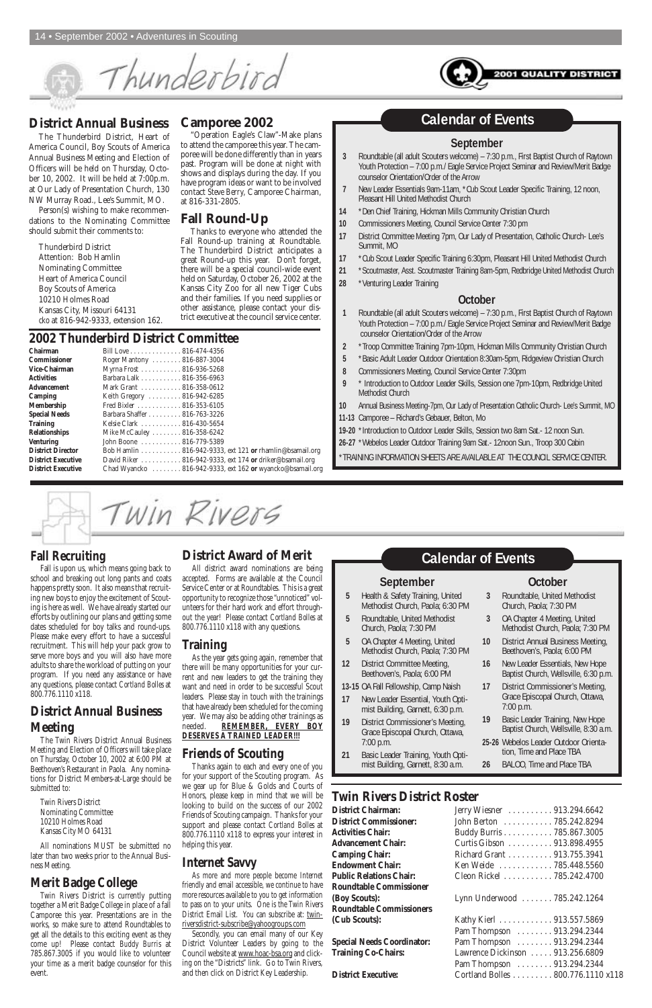Thunderbird regger

#### **District Annual Business**

The Thunderbird District, Heart of America Council, Boy Scouts of America Annual Business Meeting and Election of Officers will be held on Thursday, October 10, 2002. It will be held at 7:00p.m. at Our Lady of Presentation Church, 130 NW Murray Road., Lee's Summit, MO.

Person(s) wishing to make recommendations to the Nominating Committee should submit their comments to:

Thunderbird District Attention: Bob Hamlin Nominating Committee Heart of America Council Boy Scouts of America 10210 Holmes Road Kansas City, Missouri 64131 *cko* at 816-942-9333, extension 162.

### **Camporee 2002**

"Operation Eagle's Claw"-Make plans to attend the camporee this year. The camporee will be done differently than in years past. Program will be done at night with shows and displays during the day. If you have program ideas or want to be involved contact *Steve Berry*, Camporee Chairman, at 816-331-2805.

#### **Fall Round-Up**

Thanks to everyone who attended the Fall Round-up training at Roundtable. The Thunderbird District anticipates a great Round-up this year. Don't forget, there will be a special council-wide event held on Saturday, October 26, 2002 at the Kansas City Zoo for all new Tiger Cubs and their families. If you need supplies or other assistance, please contact your district executive at the council service center.

### **2002 Thunderbird District Committee**

| Chairman                  | Bill Love 816-474-4356                                     |
|---------------------------|------------------------------------------------------------|
| Commissioner              | Roger Mantony  816-887-3004                                |
| Vice-Chairman             | Myrna Frost 816-936-5268                                   |
| Activities                | Barbara Lalk 816-356-6963                                  |
| Advancement               | Mark Grant  816-358-0612                                   |
| Camping                   | Keith Gregory  816-942-6285                                |
| Membership                | Fred Bixler 816-353-6105                                   |
| Special Needs             | Barbara Shaffer 816-763-3226                               |
| Training                  | Kelsie Clark  816-430-5654                                 |
| Relationships             | Mike McCauley 816-358-6242                                 |
| Venturing                 | John Boone  816-779-5389                                   |
| <b>District Director</b>  | Bob Hamlin 816-942-9333, ext 121 or rhamlin@bsamail.org    |
| <b>District Executive</b> | David Riker 816-942-9333, ext 174 or driker@bsamail.org    |
| <b>District Executive</b> | Chad Wyancko  816-942-9333, ext 162 or wyancko@bsamail.org |
|                           |                                                            |

Twin Rivers

#### **September**

- **3** Roundtable (all adult Scouters welcome) 7:30 p.m., First Baptist Church of Raytown Youth Protection – 7:00 p.m./ Eagle Service Project Seminar and Review/Merit Badge counselor Orientation/Order of the Arrow
- **7** New Leader Essentials 9am-11am, \*Cub Scout Leader Specific Training, 12 noon, Pleasant Hill United Methodist Church
- **14** \*Den Chief Training, Hickman Mills Community Christian Church
- **10** Commissioners Meeting, Council Service Center 7:30 pm
- **17** District Committee Meeting 7pm, Our Lady of Presentation, Catholic Church- Lee's Summit, MO
- **17** \*Cub Scout Leader Specific Training 6:30pm, Pleasant Hill United Methodist Church
- **21** \*Scoutmaster, Asst. Scoutmaster Training 8am-5pm, Redbridge United Methodist Church
- **28** \*Venturing Leader Training

#### **October**

#### Fall Recruiting **Calendar of Events Calendar of Events District Award of Merit**

- **1** Roundtable (all adult Scouters welcome) 7:30 p.m., First Baptist Church of Raytown Youth Protection – 7:00 p.m./ Eagle Service Project Seminar and Review/Merit Badge counselor Orientation/Order of the Arrow
- **2** \*Troop Committee Training 7pm-10pm, Hickman Mills Community Christian Church
- **5** \*Basic Adult Leader Outdoor Orientation 8:30am-5pm, Ridgeview Christian Church
- **8** Commissioners Meeting, Council Service Center 7:30pm
- **9** \* Introduction to Outdoor Leader Skills, Session one 7pm-10pm, Redbridge United Methodist Church
- **10** Annual Business Meeting-7pm, Our Lady of Presentation Catholic Church- Lee's Summit, MO
- **11-13** Camporee Richard's Gebauer, Belton, Mo
- **19-20** \*Introduction to Outdoor Leader Skills, Session two 8am Sat.- 12 noon Sun.
- **26-27** \*Webelos Leader Outdoor Training 9am Sat.- 12noon Sun., Troop 300 Cabin

\*TRAINING INFORMATION SHEETS ARE AVAILABLE AT THE COUNCIL SERVICE CENTER.

# **Calendar of Events**

#### **September**

- **5** Health & Safety Training, United Methodist Church, Paola; 6:30 PM
- **5** Roundtable, United Methodist Church, Paola; 7:30 PM
- **5** OA Chapter 4 Meeting, United Methodist Church, Paola; 7:30 PM
- **12** District Committee Meeting, Beethoven's, Paola; 6:00 PM

**13-15** OA Fall Fellowship, Camp Naish

- **17** New Leader Essential, Youth Optimist Building, Garnett, 6:30 p.m.
- **19** District Commissioner's Meeting, Grace Episcopal Church, Ottawa,

7:00 p.m.

**21** Basic Leader Training, Youth Optimist Building, Garnett, 8:30 a.m.

#### **October**

- **3** Roundtable, United Methodist Church, Paola; 7:30 PM
- **3** OA Chapter 4 Meeting, United Methodist Church, Paola; 7:30 PM
- **10** District Annual Business Meeting, Beethoven's, Paola; 6:00 PM
- 16 New Leader Essentials, New Hope Baptist Church, Wellsville, 6:30 p.m.
- **17** District Commissioner's Meeting, Grace Episcopal Church, Ottawa, 7:00 p.m.
- **19** Basic Leader Training, New Hope Baptist Church, Wellsville, 8:30 a.m.
- 



**25-26** Webelos Leader Outdoor Orientation, Time and Place TBA

**26** BALOO, Time and Place TBA

Fall is upon us, which means going back to school and breaking out long pants and coats happens pretty soon. It also means that recruiting new boys to enjoy the excitement of Scouting is here as well. We have already started our efforts by outlining our plans and getting some dates scheduled for boy talks and round-ups. Please make every effort to have a successful recruitment. This will help your pack grow to serve more boys and you will also have more adults to share the workload of putting on your program. If you need any assistance or have any questions, please contact *Cortland Bolles* at 800.776.1110 x118.

# **District Annual Business Meeting**

#### The Twin Rivers District Annual Business

Meeting and Election of Officers will take place on Thursday, October 10, 2002 at 6:00 PM at Beethoven's Restaurant in Paola. Any nominations for District Members-at-Large should be submitted to:

Twin Rivers District Nominating Committee 10210 Holmes Road Kansas City MO 64131

All nominations MUST be submitted no later than two weeks prior to the Annual Business Meeting.

# **Merit Badge College**

Twin Rivers District is currently putting together a Merit Badge College in place of a fall Camporee this year. Presentations are in the works, so make sure to attend Roundtables to get all the details to this exciting event as they come up! Please contact *Buddy Burris* at 785.867.3005 if you would like to volunteer your time as a merit badge counselor for this event.

All district award nominations are being accepted. Forms are available at the Council Service Center or at Roundtables. This is a great opportunity to recognize those "unnoticed" volunteers for their hard work and effort throughout the year! Please contact *Cortland Bolles* at 800.776.1110 x118 with any questions.

#### **Training**

As the year gets going again, remember that there will be many opportunities for your current and new leaders to get the training they want and need in order to be successful Scout leaders. Please stay in touch with the trainings that have already been scheduled for the coming year. We may also be adding other trainings as needed. **REMEMBER, EVERY BOY DESERVES A TRAINED LEADER!!!**

**Friends of Scouting**

Thanks again to each and every one of you for your support of the Scouting program. As we gear up for Blue & Golds and Courts of Honors, please keep in mind that we will be looking to build on the success of our 2002 Friends of Scouting campaign. Thanks for your support and please contact *Cortland Bolles* at 800.776.1110 x118 to express your interest in helping this year.

# **Internet Savvy**

As more and more people become Internet friendly and email accessible, we continue to have more resources available to you to get information to pass on to your units. One is the Twin Rivers District Email List. You can subscribe at: twinriversdistrict-subscribe@yahoogroups.com

Secondly, you can email many of our Key District Volunteer Leaders by going to the Council website at www.hoac-bsa.org and clicking on the "Districts" link. Go to Twin Rivers, and then click on District Key Leadership.

# **Twin Rivers District Roster**

**District Chairman: District Commissioner: Activities Chair: Advancement Chair: Camping Chair: Endowment Chair: Public Relations Chair: Roundtable Commissioner (Boy Scouts): Roundtable Commissioners (Cub Scouts):** 

| Jerry Wiesner  913.294.6642 |
|-----------------------------|
| John Berton 785.242.8294    |
| Buddy Burris 785.867.3005   |
| Curtis Gibson  913.898.4955 |
| Richard Grant 913.755.3941  |
| Ken Weide  785.448.5560     |
| Cleon Rickel 785.242.4700   |
|                             |

| Lynn Underwood  785.242.1264 |  |
|------------------------------|--|
|                              |  |

| (Cub Scouts):                     | Kathy Kierl 913.557.5869                |
|-----------------------------------|-----------------------------------------|
|                                   | Pam Thompson 913.294.2344               |
| <b>Special Needs Coordinator:</b> | Pam Thompson $\dots \dots 913.294.2344$ |
| <b>Training Co-Chairs:</b>        | Lawrence Dickinson  913.256.6809        |
|                                   | Pam Thompson 913.294.2344               |
| <b>District Executive:</b>        | Cortland Bolles 800.776.1110 x118       |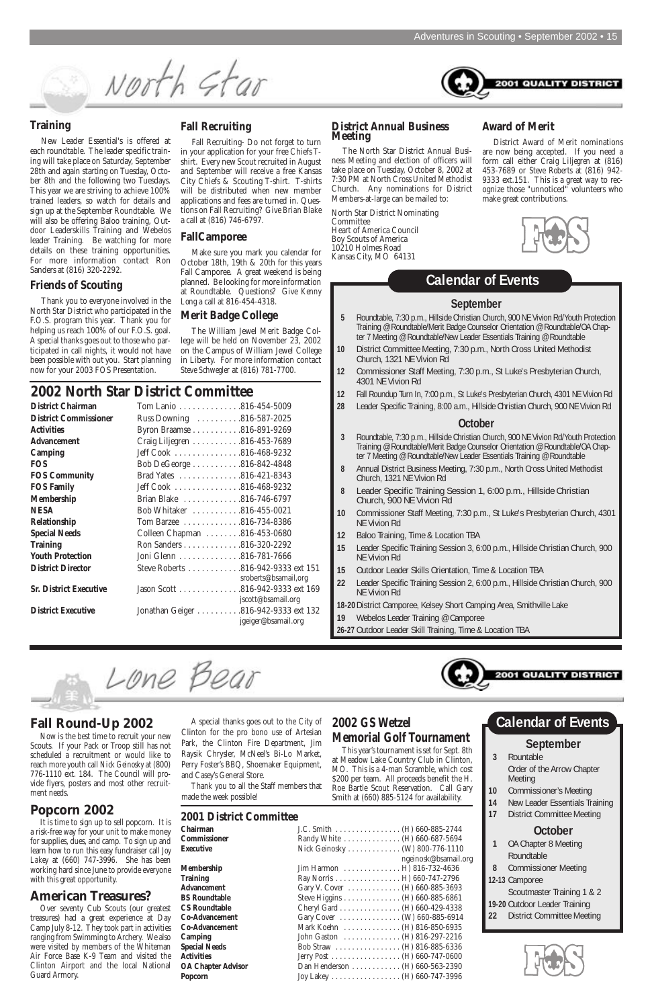North Star

#### **Fall Round-Up 2002**

Now is the best time to recruit your new

Scouts. If your Pack or Troop still has not scheduled a recruitment or would like to reach more youth call *Nick Geinosky* at (800) 776-1110 ext. 184. The Council will provide flyers, posters and most other recruitment needs.

# **Popcorn 2002**

It is time to sign up to sell popcorn. It is a risk-free way for your unit to make money for supplies, dues, and camp. To sign up and learn how to run this easy fundraiser call *Joy Lakey* at (660) 747-3996. She has been working hard since June to provide everyone with this great opportunity.

# **American Treasures?**

Over seventy Cub Scouts (our greatest treasures) had a great experience at Day Camp July 8-12. They took part in activities ranging from Swimming to Archery. We also were visited by members of the Whiteman Air Force Base K-9 Team and visited the Clinton Airport and the local National Guard Armory.

A special thanks goes out to the City of Clinton for the pro bono use of Artesian

Park, the Clinton Fire Department, Jim Raysik Chrysler, McNeel's Bi-Lo Market, Perry Foster's BBQ, Shoemaker Equipment, and Casey's General Store.

Thank you to all the Staff members that made the week possible!

**2002 GS Wetzel Memorial Golf Tournament**

Jim Harmon . . . . . . . . . . . . . . H) 816-732-4636 **Training** Ray Norris . . . . . . . . . . . . . . . . H) 660-747-2796 **Advancement** Gary V. Cover . . . . . . . . . . . . . (H) 660-885-3693 Steve Higgins . . . . . . . . . . . . . . . (H) 660-885-6861 **CS Roundtable** Cheryl Gard . . . . . . . . . . . . . . . (H) 660-429-4338 Gary Cover . . . . . . . . . . . . . . . . (W) 660-885-6914 Mark Koehn . . . . . . . . . . . . . . . (H) 816-850-6935 **Camping** John Gaston . . . . . . . . . . . . . . (H) 816-297-2216 **Special Needs** Bob Straw . . . . . . . . . . . . . . . . (H) 816-885-6336 **Activities** Jerry Post . . . . . . . . . . . . . . . . . (H) 660-747-0600 Dan Henderson . . . . . . . . . . . . . (H) 660-563-2390 **Popcorn** Joy Lakey . . . . . . . . . . . . . . . . . (H) 660-747-3996

This year's tournament is set for Sept. 8th at Meadow Lake Country Club in Clinton, MO. This is a 4-man Scramble, which cost \$200 per team. All proceeds benefit the H. Roe Bartle Scout Reservation. Call Gary Smith at (660) 885-5124 for availability.

#### **2001 District Committee Chairman** J.C. Smith . . . . . . . . . . . . . . . . (H) 660-885-2744

| Chairman                  |
|---------------------------|
| Commissioner              |
| Executive                 |
| <b>Membership</b>         |
| <b>Training</b>           |
| <b>Advancement</b>        |
| <b>BS Roundtable</b>      |
| <b>CS Roundtable</b>      |
| <b>Co-Advancement</b>     |
|                           |
| Co-Advancement            |
| Camping                   |
| <b>Special Needs</b>      |
| <b>Activities</b>         |
| <b>OA Chapter Advisor</b> |
| <b>Popcorn</b>            |

**Commissioner** Randy White . . . . . . . . . . . . . . (H) 660-687-5694 **Executive** Nick Geinosky . . . . . . . . . . . . . (W) 800-776-1110

ngeinosk@bsamail.org





Lone Bear

#### **September**

**3** Rountable

Order of the Arrow Chapter Meeting

- **10** Commissioner's Meeting
- **14** New Leader Essentials Training
- **17** District Committee Meeting

# **October**

- **1** OA Chapter 8 Meeting Roundtable
- **8** Commissioner Meeting

**12-13** Camporee

Scoutmaster Training 1 & 2 **19-20** Outdoor Leader Training **22** District Committee Meeting



**Calendar of Events**

#### **Training**

New Leader Essential's is offered at each roundtable. The leader specific training will take place on Saturday, September 28th and again starting on Tuesday, October 8th and the following two Tuesdays. This year we are striving to achieve 100% trained leaders, so watch for details and sign up at the September Roundtable. We will also be offering Baloo training, Outdoor Leaderskills Training and Webelos leader Training. Be watching for more details on these training opportunities. For more information contact Ron Sanders at (816) 320-2292.

#### **Friends of Scouting**

Thank you to everyone involved in the North Star District who participated in the F.O.S. program this year. Thank you for helping us reach 100% of our F.O.S. goal. A special thanks goes out to those who participated in call nights, it would not have been possible with out you. Start planning now for your 2003 FOS Presentation.

#### **Fall Recruiting**

Fall Recruiting- Do not forget to turn in your application for your free Chiefs Tshirt. Every new Scout recruited in August and September will receive a free Kansas City Chiefs & Scouting T-shirt. T-shirts will be distributed when new member applications and fees are turned in. Questions on Fall Recruiting? Give *Brian Blake* a call at (816) 746-6797.

#### **FallCamporee**

Make sure you mark you calendar for October 18th, 19th & 20th for this years Fall Camporee. A great weekend is being planned. Be looking for more information at Roundtable. Questions? Give *Kenny Long* a call at 816-454-4318.

#### **Merit Badge College**

The William Jewel Merit Badge College will be held on November 23, 2002 on the Campus of William Jewel College in Liberty. For more information contact *Steve Schwegler* at (816) 781-7700.

#### **District Annual Business Meeting**

The North Star District Annual Business Meeting and election of officers will take place on Tuesday, October 8, 2002 at 7:30 PM at North Cross United Methodist Church. Any nominations for District Members-at-large can be mailed to:

North Star District Nominating Committee Heart of America Council Boy Scouts of America 10210 Holmes Road Kansas City, MO 64131

#### **Award of Merit**

District Award of Merit nominations are now being accepted. If you need a form call either *Craig Liljegren* at (816) 453-7689 or *Steve Roberts* at (816) 942- 9333 ext.151. This is a great way to recognize those "unnoticed" volunteers who make great contributions.

**QUALITY DISTRICT** 



#### **September**

- **5** Roundtable, 7:30 p.m., Hillside Christian Church, 900 NE Vivion Rd/Youth Protection Training @ Roundtable/Merit Badge Counselor Orientation @ Roundtable/OA Chapter 7 Meeting @ Roundtable/New Leader Essentials Training @ Roundtable
- **10** District Committee Meeting, 7:30 p.m., North Cross United Methodist Church, 1321 NE Vivion Rd
- **12** Commissioner Staff Meeting, 7:30 p.m., St Luke's Presbyterian Church, 4301 NE Vivion Rd
- **12** Fall Roundup Turn In, 7:00 p.m., St Luke's Presbyterian Church, 4301 NE Vivion Rd
- **28** Leader Specific Training, 8:00 a.m., Hillside Christian Church, 900 NE Vivion Rd

#### **October**

- **3** Roundtable, 7:30 p.m., Hillside Christian Church, 900 NE Vivion Rd/Youth Protection Training @ Roundtable/Merit Badge Counselor Orientation @ Roundtable/OA Chapter 7 Meeting @ Roundtable/New Leader Essentials Training @ Roundtable
- **8** Annual District Business Meeting, 7:30 p.m., North Cross United Methodist Church, 1321 NE Vivion Rd
- **8** Leader Specific Training Session 1, 6:00 p.m., Hillside Christian Church, 900 NE Vivion Rd
- **10** Commissioner Staff Meeting, 7:30 p.m., St Luke's Presbyterian Church, 4301 NE Vivion Rd
- **12** Baloo Training, Time & Location TBA
- **15** Leader Specific Training Session 3, 6:00 p.m., Hillside Christian Church, 900 NE Vivion Rd
- **15** Outdoor Leader Skills Orientation, Time & Location TBA
- **22** Leader Specific Training Session 2, 6:00 p.m., Hillside Christian Church, 900 NE Vivion Rd

**18-20**District Camporee, Kelsey Short Camping Area, Smithville Lake

- **19** Webelos Leader Training @ Camporee
- **26-27** Outdoor Leader Skill Training, Time & Location TBA

# **Calendar of Events**

# **2002 North Star District Committee**

| <b>District Chairman</b>      | Tom Lanio 816-454-5009                                      |
|-------------------------------|-------------------------------------------------------------|
| <b>District Commissioner</b>  | Russ Downing  816-587-2025                                  |
| <b>Activities</b>             | Byron Braamse 816-891-9269                                  |
| <b>Advancement</b>            | Craig Liljegren 816-453-7689                                |
| <b>Camping</b>                | Jeff Cook 816-468-9232                                      |
| <b>FOS</b>                    | Bob DeGeorge 816-842-4848                                   |
| <b>FOS Community</b>          | Brad Yates 816-421-8343                                     |
| <b>FOS Family</b>             | Jeff Cook 816-468-9232                                      |
| <b>Membership</b>             | Brian Blake 816-746-6797                                    |
| <b>NESA</b>                   | Bob Whitaker 816-455-0021                                   |
| Relationship                  | Tom Barzee 816-734-8386                                     |
| <b>Special Needs</b>          | Colleen Chapman 816-453-0680                                |
| <b>Training</b>               | Ron Sanders 816-320-2292                                    |
| <b>Youth Protection</b>       | Joni Glenn 816-781-7666                                     |
| <b>District Director</b>      | Steve Roberts 816-942-9333 ext 151<br>sroberts@bsamail,org  |
| <b>Sr. District Executive</b> | Jason Scott 816-942-9333 ext 169<br>jscott@bsamail.org      |
| <b>District Executive</b>     | Jonathan Geiger 816-942-9333 ext 132<br>jgeiger@bsamail.org |